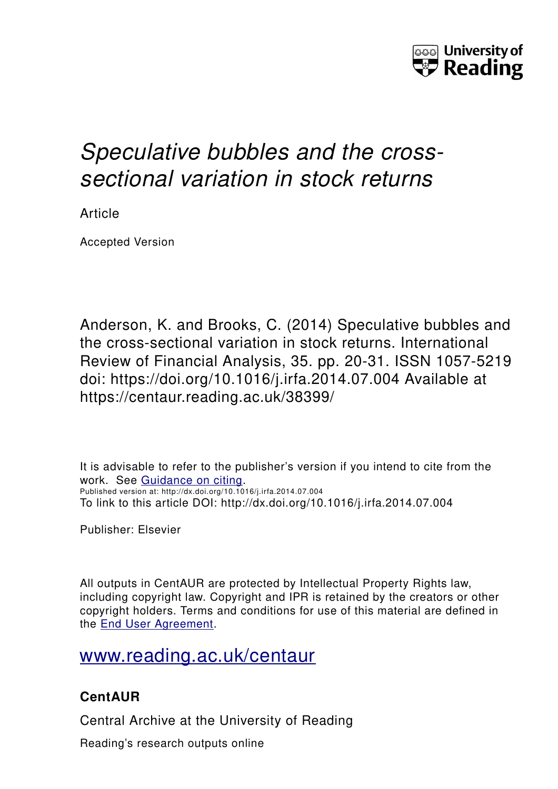

# *Speculative bubbles and the crosssectional variation in stock returns*

Article

Accepted Version

Anderson, K. and Brooks, C. (2014) Speculative bubbles and the cross-sectional variation in stock returns. International Review of Financial Analysis, 35. pp. 20-31. ISSN 1057-5219 doi: https://doi.org/10.1016/j.irfa.2014.07.004 Available at https://centaur.reading.ac.uk/38399/

It is advisable to refer to the publisher's version if you intend to cite from the work. See [Guidance on citing.](http://centaur.reading.ac.uk/71187/10/CentAUR%20citing%20guide.pdf) Published version at: http://dx.doi.org/10.1016/j.irfa.2014.07.004 To link to this article DOI: http://dx.doi.org/10.1016/j.irfa.2014.07.004

Publisher: Elsevier

All outputs in CentAUR are protected by Intellectual Property Rights law, including copyright law. Copyright and IPR is retained by the creators or other copyright holders. Terms and conditions for use of this material are defined in the [End User Agreement.](http://centaur.reading.ac.uk/licence)

# [www.reading.ac.uk/centaur](http://www.reading.ac.uk/centaur)

# **CentAUR**

Central Archive at the University of Reading

Reading's research outputs online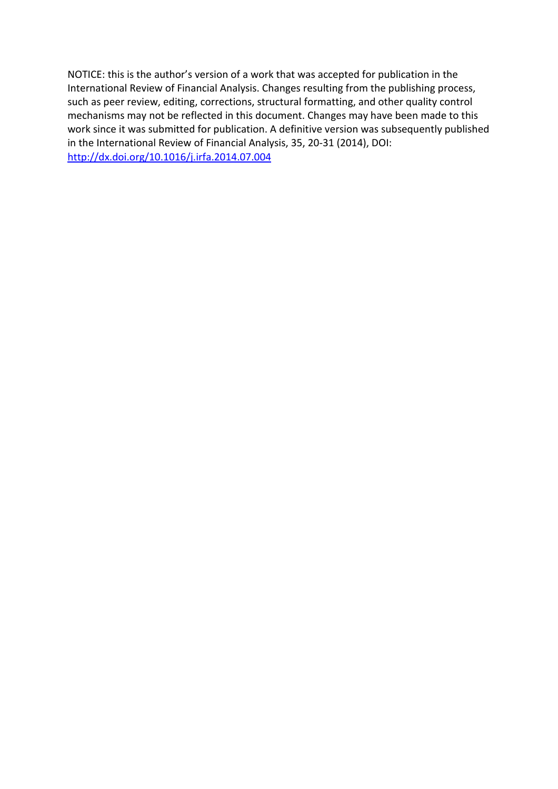NOTICE: this is the author's version of a work that was accepted for publication in the International Review of Financial Analysis. Changes resulting from the publishing process, such as peer review, editing, corrections, structural formatting, and other quality control mechanisms may not be reflected in this document. Changes may have been made to this work since it was submitted for publication. A definitive version was subsequently published in the International Review of Financial Analysis, 35, 20-31 (2014), DOI: http://dx.doi.org/10.1016/j.irfa.2014.07.004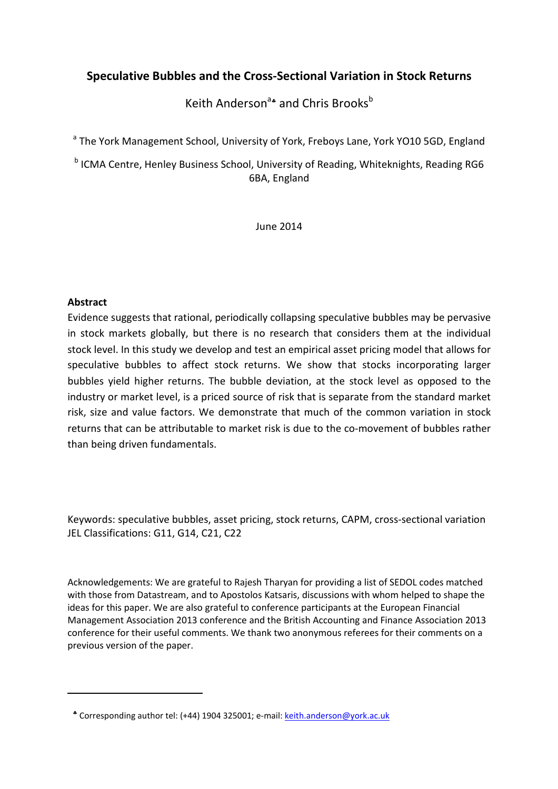## **Speculative Bubbles and the Cross-Sectional Variation in Stock Returns**

Keith Anderson<sup>a</sup>\* and Chris Brooks<sup>b</sup>

<sup>a</sup> The York Management School, University of York, Freboys Lane, York YO10 5GD, England

<sup>b</sup> ICMA Centre, Henley Business School, University of Reading, Whiteknights, Reading RG6 6BA, England

June 2014

### **Abstract**

 $\overline{a}$ 

Evidence suggests that rational, periodically collapsing speculative bubbles may be pervasive in stock markets globally, but there is no research that considers them at the individual stock level. In this study we develop and test an empirical asset pricing model that allows for speculative bubbles to affect stock returns. We show that stocks incorporating larger bubbles yield higher returns. The bubble deviation, at the stock level as opposed to the industry or market level, is a priced source of risk that is separate from the standard market risk, size and value factors. We demonstrate that much of the common variation in stock returns that can be attributable to market risk is due to the co-movement of bubbles rather than being driven fundamentals.

Keywords: speculative bubbles, asset pricing, stock returns, CAPM, cross-sectional variation JEL Classifications: G11, G14, C21, C22

Acknowledgements: We are grateful to Rajesh Tharyan for providing a list of SEDOL codes matched with those from Datastream, and to Apostolos Katsaris, discussions with whom helped to shape the ideas for this paper. We are also grateful to conference participants at the European Financial Management Association 2013 conference and the British Accounting and Finance Association 2013 conference for their useful comments. We thank two anonymous referees for their comments on a previous version of the paper.

<sup>\*</sup> Corresponding author tel: (+44) 1904 325001; e-mail: keith.anderson@york.ac.uk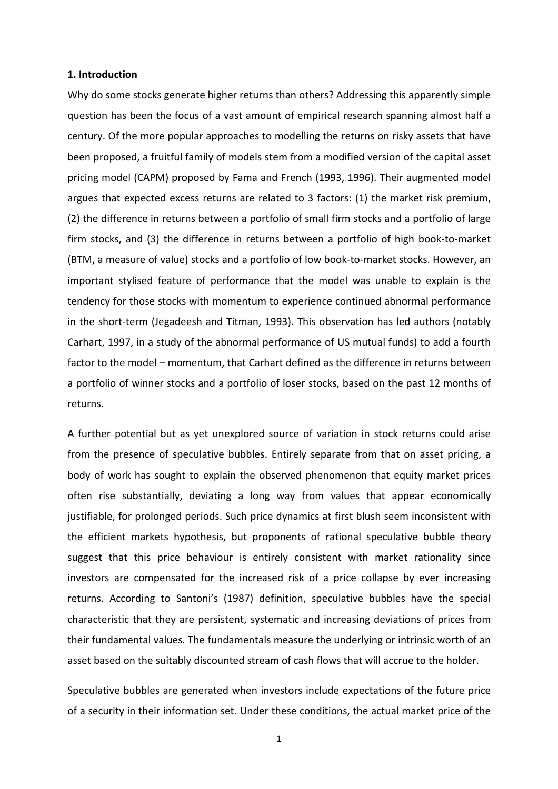#### **1. Introduction**

Why do some stocks generate higher returns than others? Addressing this apparently simple question has been the focus of a vast amount of empirical research spanning almost half a century. Of the more popular approaches to modelling the returns on risky assets that have been proposed, a fruitful family of models stem from a modified version of the capital asset pricing model (CAPM) proposed by Fama and French (1993, 1996). Their augmented model argues that expected excess returns are related to 3 factors: (1) the market risk premium, (2) the difference in returns between a portfolio of small firm stocks and a portfolio of large firm stocks, and (3) the difference in returns between a portfolio of high book-to-market (BTM, a measure of value) stocks and a portfolio of low book-to-market stocks. However, an important stylised feature of performance that the model was unable to explain is the tendency for those stocks with momentum to experience continued abnormal performance in the short-term (Jegadeesh and Titman, 1993). This observation has led authors (notably Carhart, 1997, in a study of the abnormal performance of US mutual funds) to add a fourth factor to the model – momentum, that Carhart defined as the difference in returns between a portfolio of winner stocks and a portfolio of loser stocks, based on the past 12 months of returns.

A further potential but as yet unexplored source of variation in stock returns could arise from the presence of speculative bubbles. Entirely separate from that on asset pricing, a body of work has sought to explain the observed phenomenon that equity market prices often rise substantially, deviating a long way from values that appear economically justifiable, for prolonged periods. Such price dynamics at first blush seem inconsistent with the efficient markets hypothesis, but proponents of rational speculative bubble theory suggest that this price behaviour is entirely consistent with market rationality since investors are compensated for the increased risk of a price collapse by ever increasing returns. According to Santoni's (1987) definition, speculative bubbles have the special characteristic that they are persistent, systematic and increasing deviations of prices from their fundamental values. The fundamentals measure the underlying or intrinsic worth of an asset based on the suitably discounted stream of cash flows that will accrue to the holder.

Speculative bubbles are generated when investors include expectations of the future price of a security in their information set. Under these conditions, the actual market price of the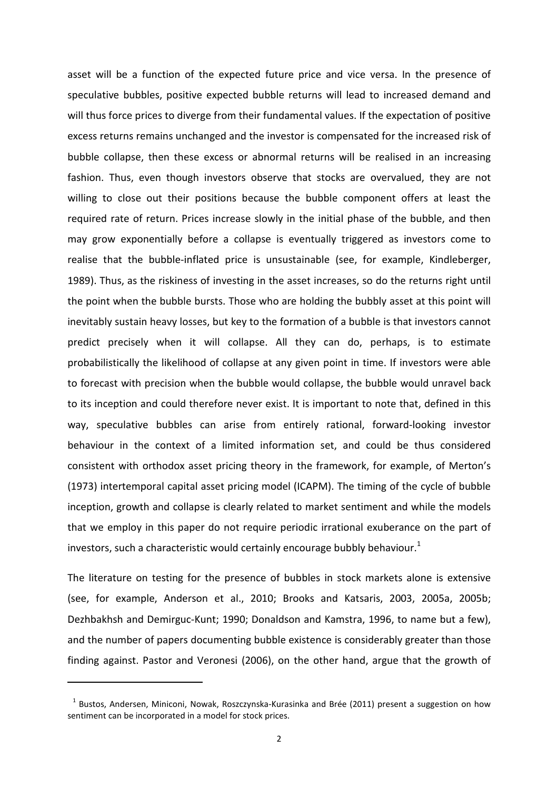asset will be a function of the expected future price and vice versa. In the presence of speculative bubbles, positive expected bubble returns will lead to increased demand and will thus force prices to diverge from their fundamental values. If the expectation of positive excess returns remains unchanged and the investor is compensated for the increased risk of bubble collapse, then these excess or abnormal returns will be realised in an increasing fashion. Thus, even though investors observe that stocks are overvalued, they are not willing to close out their positions because the bubble component offers at least the required rate of return. Prices increase slowly in the initial phase of the bubble, and then may grow exponentially before a collapse is eventually triggered as investors come to realise that the bubble-inflated price is unsustainable (see, for example, Kindleberger, 1989). Thus, as the riskiness of investing in the asset increases, so do the returns right until the point when the bubble bursts. Those who are holding the bubbly asset at this point will inevitably sustain heavy losses, but key to the formation of a bubble is that investors cannot predict precisely when it will collapse. All they can do, perhaps, is to estimate probabilistically the likelihood of collapse at any given point in time. If investors were able to forecast with precision when the bubble would collapse, the bubble would unravel back to its inception and could therefore never exist. It is important to note that, defined in this way, speculative bubbles can arise from entirely rational, forward-looking investor behaviour in the context of a limited information set, and could be thus considered consistent with orthodox asset pricing theory in the framework, for example, of Merton's (1973) intertemporal capital asset pricing model (ICAPM). The timing of the cycle of bubble inception, growth and collapse is clearly related to market sentiment and while the models that we employ in this paper do not require periodic irrational exuberance on the part of investors, such a characteristic would certainly encourage bubbly behaviour.<sup>1</sup>

The literature on testing for the presence of bubbles in stock markets alone is extensive (see, for example, Anderson et al., 2010; Brooks and Katsaris, 2003, 2005a, 2005b; Dezhbakhsh and Demirguc-Kunt; 1990; Donaldson and Kamstra, 1996, to name but a few), and the number of papers documenting bubble existence is considerably greater than those finding against. Pastor and Veronesi (2006), on the other hand, argue that the growth of

l

 $^{\text{1}}$  Bustos, Andersen, Miniconi, Nowak, Roszczynska-Kurasinka and Brée (2011) present a suggestion on how sentiment can be incorporated in a model for stock prices.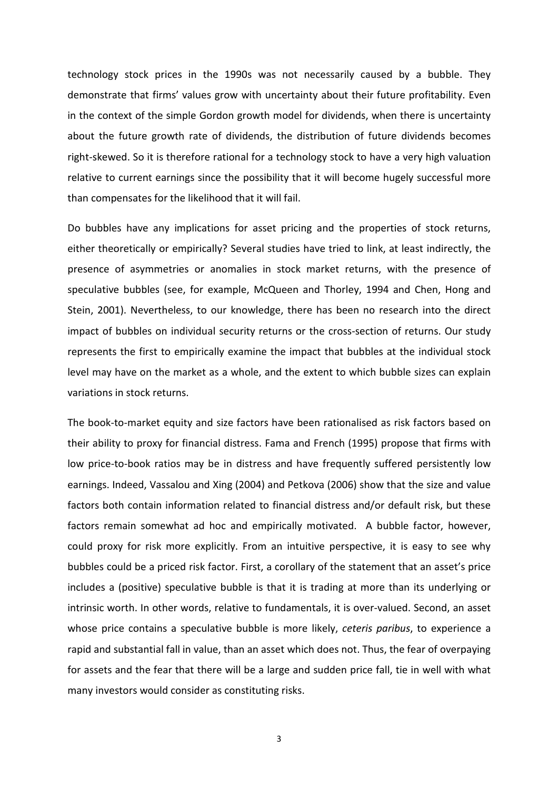technology stock prices in the 1990s was not necessarily caused by a bubble. They demonstrate that firms' values grow with uncertainty about their future profitability. Even in the context of the simple Gordon growth model for dividends, when there is uncertainty about the future growth rate of dividends, the distribution of future dividends becomes right-skewed. So it is therefore rational for a technology stock to have a very high valuation relative to current earnings since the possibility that it will become hugely successful more than compensates for the likelihood that it will fail.

Do bubbles have any implications for asset pricing and the properties of stock returns, either theoretically or empirically? Several studies have tried to link, at least indirectly, the presence of asymmetries or anomalies in stock market returns, with the presence of speculative bubbles (see, for example, McQueen and Thorley, 1994 and Chen, Hong and Stein, 2001). Nevertheless, to our knowledge, there has been no research into the direct impact of bubbles on individual security returns or the cross-section of returns. Our study represents the first to empirically examine the impact that bubbles at the individual stock level may have on the market as a whole, and the extent to which bubble sizes can explain variations in stock returns.

The book-to-market equity and size factors have been rationalised as risk factors based on their ability to proxy for financial distress. Fama and French (1995) propose that firms with low price-to-book ratios may be in distress and have frequently suffered persistently low earnings. Indeed, Vassalou and Xing (2004) and Petkova (2006) show that the size and value factors both contain information related to financial distress and/or default risk, but these factors remain somewhat ad hoc and empirically motivated. A bubble factor, however, could proxy for risk more explicitly. From an intuitive perspective, it is easy to see why bubbles could be a priced risk factor. First, a corollary of the statement that an asset's price includes a (positive) speculative bubble is that it is trading at more than its underlying or intrinsic worth. In other words, relative to fundamentals, it is over-valued. Second, an asset whose price contains a speculative bubble is more likely, *ceteris paribus*, to experience a rapid and substantial fall in value, than an asset which does not. Thus, the fear of overpaying for assets and the fear that there will be a large and sudden price fall, tie in well with what many investors would consider as constituting risks.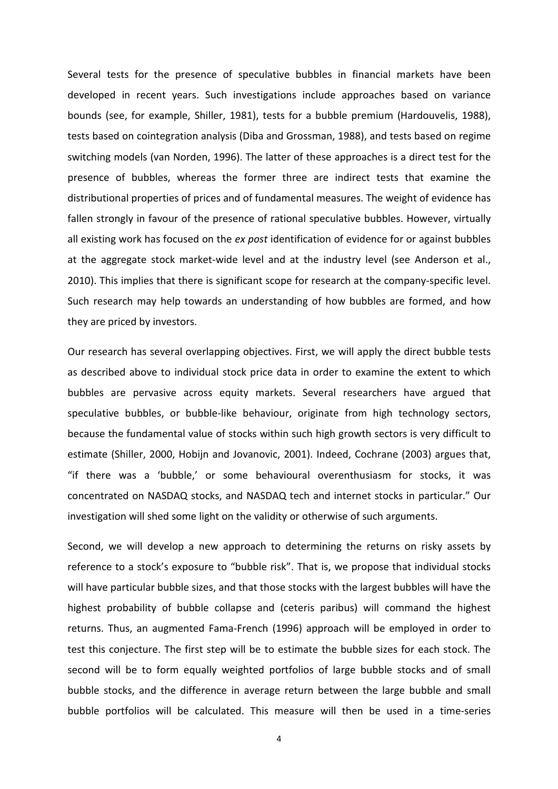Several tests for the presence of speculative bubbles in financial markets have been developed in recent years. Such investigations include approaches based on variance bounds (see, for example, Shiller, 1981), tests for a bubble premium (Hardouvelis, 1988), tests based on cointegration analysis (Diba and Grossman, 1988), and tests based on regime switching models (van Norden, 1996). The latter of these approaches is a direct test for the presence of bubbles, whereas the former three are indirect tests that examine the distributional properties of prices and of fundamental measures. The weight of evidence has fallen strongly in favour of the presence of rational speculative bubbles. However, virtually all existing work has focused on the *ex post* identification of evidence for or against bubbles at the aggregate stock market-wide level and at the industry level (see Anderson et al., 2010). This implies that there is significant scope for research at the company-specific level. Such research may help towards an understanding of how bubbles are formed, and how they are priced by investors.

Our research has several overlapping objectives. First, we will apply the direct bubble tests as described above to individual stock price data in order to examine the extent to which bubbles are pervasive across equity markets. Several researchers have argued that speculative bubbles, or bubble-like behaviour, originate from high technology sectors, because the fundamental value of stocks within such high growth sectors is very difficult to estimate (Shiller, 2000, Hobijn and Jovanovic, 2001). Indeed, Cochrane (2003) argues that, "if there was a 'bubble,' or some behavioural overenthusiasm for stocks, it was concentrated on NASDAQ stocks, and NASDAQ tech and internet stocks in particular." Our investigation will shed some light on the validity or otherwise of such arguments.

Second, we will develop a new approach to determining the returns on risky assets by reference to a stock's exposure to "bubble risk". That is, we propose that individual stocks will have particular bubble sizes, and that those stocks with the largest bubbles will have the highest probability of bubble collapse and (ceteris paribus) will command the highest returns. Thus, an augmented Fama-French (1996) approach will be employed in order to test this conjecture. The first step will be to estimate the bubble sizes for each stock. The second will be to form equally weighted portfolios of large bubble stocks and of small bubble stocks, and the difference in average return between the large bubble and small bubble portfolios will be calculated. This measure will then be used in a time-series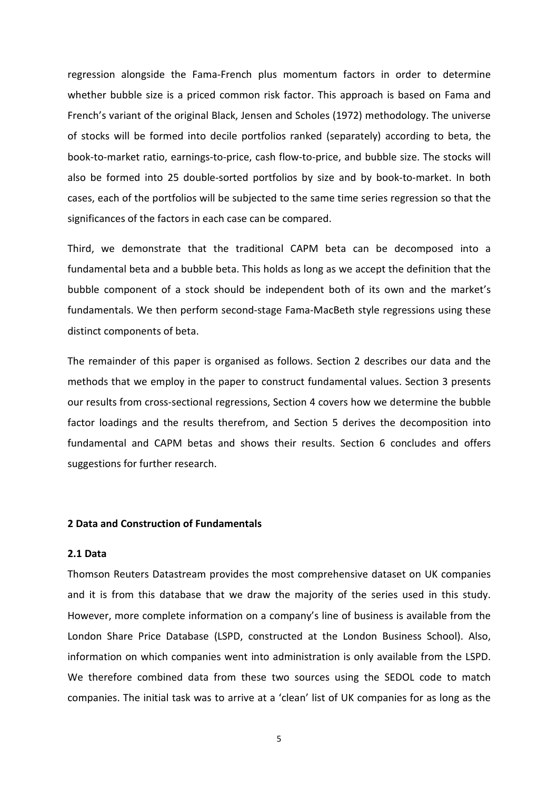regression alongside the Fama-French plus momentum factors in order to determine whether bubble size is a priced common risk factor. This approach is based on Fama and French's variant of the original Black, Jensen and Scholes (1972) methodology. The universe of stocks will be formed into decile portfolios ranked (separately) according to beta, the book-to-market ratio, earnings-to-price, cash flow-to-price, and bubble size. The stocks will also be formed into 25 double-sorted portfolios by size and by book-to-market. In both cases, each of the portfolios will be subjected to the same time series regression so that the significances of the factors in each case can be compared.

Third, we demonstrate that the traditional CAPM beta can be decomposed into a fundamental beta and a bubble beta. This holds as long as we accept the definition that the bubble component of a stock should be independent both of its own and the market's fundamentals. We then perform second-stage Fama-MacBeth style regressions using these distinct components of beta.

The remainder of this paper is organised as follows. Section 2 describes our data and the methods that we employ in the paper to construct fundamental values. Section 3 presents our results from cross-sectional regressions, Section 4 covers how we determine the bubble factor loadings and the results therefrom, and Section 5 derives the decomposition into fundamental and CAPM betas and shows their results. Section 6 concludes and offers suggestions for further research.

### **2 Data and Construction of Fundamentals**

#### **2.1 Data**

Thomson Reuters Datastream provides the most comprehensive dataset on UK companies and it is from this database that we draw the majority of the series used in this study. However, more complete information on a company's line of business is available from the London Share Price Database (LSPD, constructed at the London Business School). Also, information on which companies went into administration is only available from the LSPD. We therefore combined data from these two sources using the SEDOL code to match companies. The initial task was to arrive at a 'clean' list of UK companies for as long as the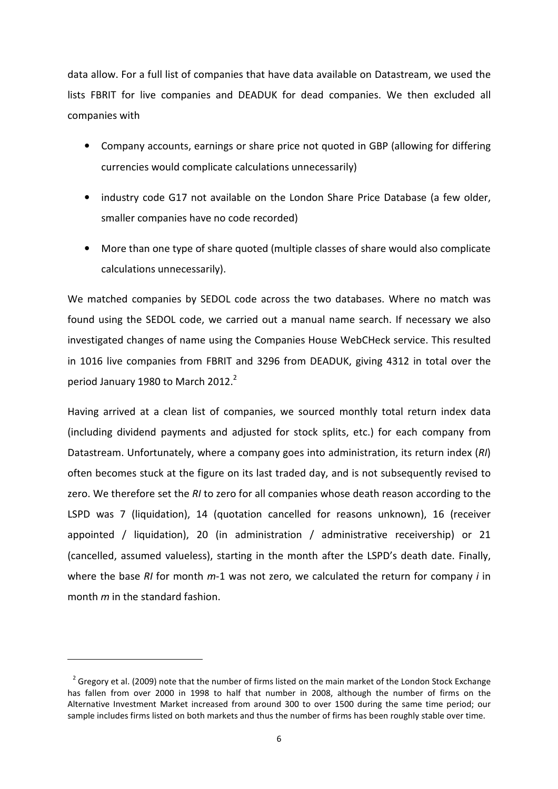data allow. For a full list of companies that have data available on Datastream, we used the lists FBRIT for live companies and DEADUK for dead companies. We then excluded all companies with

- Company accounts, earnings or share price not quoted in GBP (allowing for differing currencies would complicate calculations unnecessarily)
- industry code G17 not available on the London Share Price Database (a few older, smaller companies have no code recorded)
- More than one type of share quoted (multiple classes of share would also complicate calculations unnecessarily).

We matched companies by SEDOL code across the two databases. Where no match was found using the SEDOL code, we carried out a manual name search. If necessary we also investigated changes of name using the Companies House WebCHeck service. This resulted in 1016 live companies from FBRIT and 3296 from DEADUK, giving 4312 in total over the period January 1980 to March 2012.<sup>2</sup>

Having arrived at a clean list of companies, we sourced monthly total return index data (including dividend payments and adjusted for stock splits, etc.) for each company from Datastream. Unfortunately, where a company goes into administration, its return index (*RI*) often becomes stuck at the figure on its last traded day, and is not subsequently revised to zero. We therefore set the *RI* to zero for all companies whose death reason according to the LSPD was 7 (liquidation), 14 (quotation cancelled for reasons unknown), 16 (receiver appointed / liquidation), 20 (in administration / administrative receivership) or 21 (cancelled, assumed valueless), starting in the month after the LSPD's death date. Finally, where the base *RI* for month *m*-1 was not zero, we calculated the return for company *i* in month *m* in the standard fashion.

l

 $^2$  Gregory et al. (2009) note that the number of firms listed on the main market of the London Stock Exchange has fallen from over 2000 in 1998 to half that number in 2008, although the number of firms on the Alternative Investment Market increased from around 300 to over 1500 during the same time period; our sample includes firms listed on both markets and thus the number of firms has been roughly stable over time.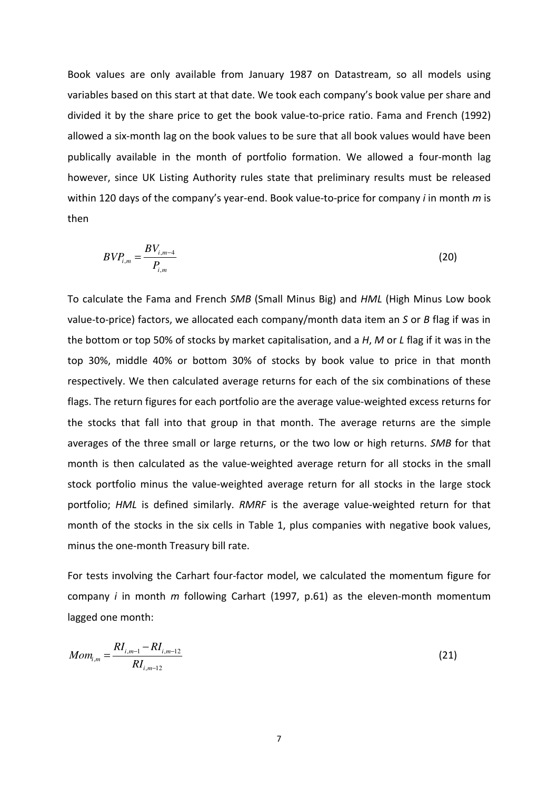Book values are only available from January 1987 on Datastream, so all models using variables based on this start at that date. We took each company's book value per share and divided it by the share price to get the book value-to-price ratio. Fama and French (1992) allowed a six-month lag on the book values to be sure that all book values would have been publically available in the month of portfolio formation. We allowed a four-month lag however, since UK Listing Authority rules state that preliminary results must be released within 120 days of the company's year-end. Book value-to-price for company *i* in month *m* is then

$$
BVP_{i,m} = \frac{BV_{i,m-4}}{P_{i,m}}
$$
 (20)

To calculate the Fama and French *SMB* (Small Minus Big) and *HML* (High Minus Low book value-to-price) factors, we allocated each company/month data item an *S* or *B* flag if was in the bottom or top 50% of stocks by market capitalisation, and a *H*, *M* or *L* flag if it was in the top 30%, middle 40% or bottom 30% of stocks by book value to price in that month respectively. We then calculated average returns for each of the six combinations of these flags. The return figures for each portfolio are the average value-weighted excess returns for the stocks that fall into that group in that month. The average returns are the simple averages of the three small or large returns, or the two low or high returns. *SMB* for that month is then calculated as the value-weighted average return for all stocks in the small stock portfolio minus the value-weighted average return for all stocks in the large stock portfolio; *HML* is defined similarly. *RMRF* is the average value-weighted return for that month of the stocks in the six cells in Table 1, plus companies with negative book values, minus the one-month Treasury bill rate.

For tests involving the Carhart four-factor model, we calculated the momentum figure for company *i* in month *m* following Carhart (1997, p.61) as the eleven-month momentum lagged one month:

$$
Mom_{i,m} = \frac{RI_{i,m-1} - RI_{i,m-12}}{RI_{i,m-12}}
$$
\n(21)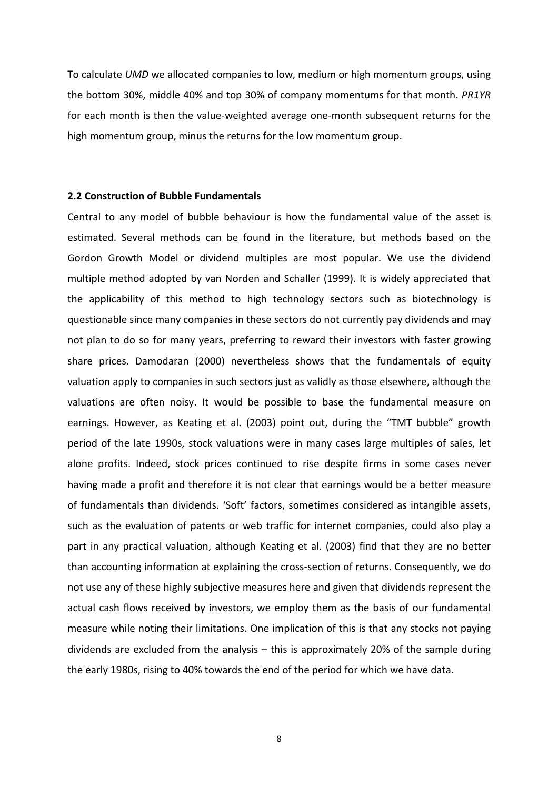To calculate *UMD* we allocated companies to low, medium or high momentum groups, using the bottom 30%, middle 40% and top 30% of company momentums for that month. *PR1YR*  for each month is then the value-weighted average one-month subsequent returns for the high momentum group, minus the returns for the low momentum group.

#### **2.2 Construction of Bubble Fundamentals**

Central to any model of bubble behaviour is how the fundamental value of the asset is estimated. Several methods can be found in the literature, but methods based on the Gordon Growth Model or dividend multiples are most popular. We use the dividend multiple method adopted by van Norden and Schaller (1999). It is widely appreciated that the applicability of this method to high technology sectors such as biotechnology is questionable since many companies in these sectors do not currently pay dividends and may not plan to do so for many years, preferring to reward their investors with faster growing share prices. Damodaran (2000) nevertheless shows that the fundamentals of equity valuation apply to companies in such sectors just as validly as those elsewhere, although the valuations are often noisy. It would be possible to base the fundamental measure on earnings. However, as Keating et al. (2003) point out, during the "TMT bubble" growth period of the late 1990s, stock valuations were in many cases large multiples of sales, let alone profits. Indeed, stock prices continued to rise despite firms in some cases never having made a profit and therefore it is not clear that earnings would be a better measure of fundamentals than dividends. 'Soft' factors, sometimes considered as intangible assets, such as the evaluation of patents or web traffic for internet companies, could also play a part in any practical valuation, although Keating et al. (2003) find that they are no better than accounting information at explaining the cross-section of returns. Consequently, we do not use any of these highly subjective measures here and given that dividends represent the actual cash flows received by investors, we employ them as the basis of our fundamental measure while noting their limitations. One implication of this is that any stocks not paying dividends are excluded from the analysis – this is approximately 20% of the sample during the early 1980s, rising to 40% towards the end of the period for which we have data.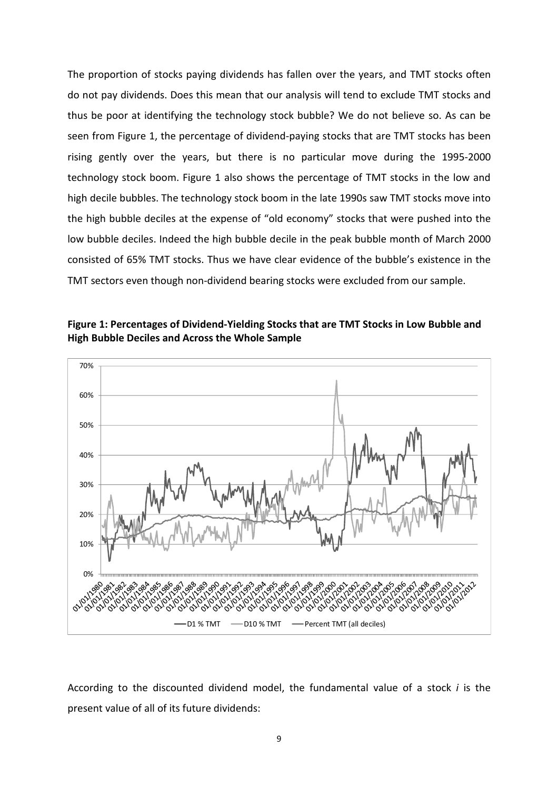The proportion of stocks paying dividends has fallen over the years, and TMT stocks often do not pay dividends. Does this mean that our analysis will tend to exclude TMT stocks and thus be poor at identifying the technology stock bubble? We do not believe so. As can be seen from Figure 1, the percentage of dividend-paying stocks that are TMT stocks has been rising gently over the years, but there is no particular move during the 1995-2000 technology stock boom. Figure 1 also shows the percentage of TMT stocks in the low and high decile bubbles. The technology stock boom in the late 1990s saw TMT stocks move into the high bubble deciles at the expense of "old economy" stocks that were pushed into the low bubble deciles. Indeed the high bubble decile in the peak bubble month of March 2000 consisted of 65% TMT stocks. Thus we have clear evidence of the bubble's existence in the TMT sectors even though non-dividend bearing stocks were excluded from our sample.



**Figure 1: Percentages of Dividend-Yielding Stocks that are TMT Stocks in Low Bubble and High Bubble Deciles and Across the Whole Sample** 

According to the discounted dividend model, the fundamental value of a stock *i* is the present value of all of its future dividends: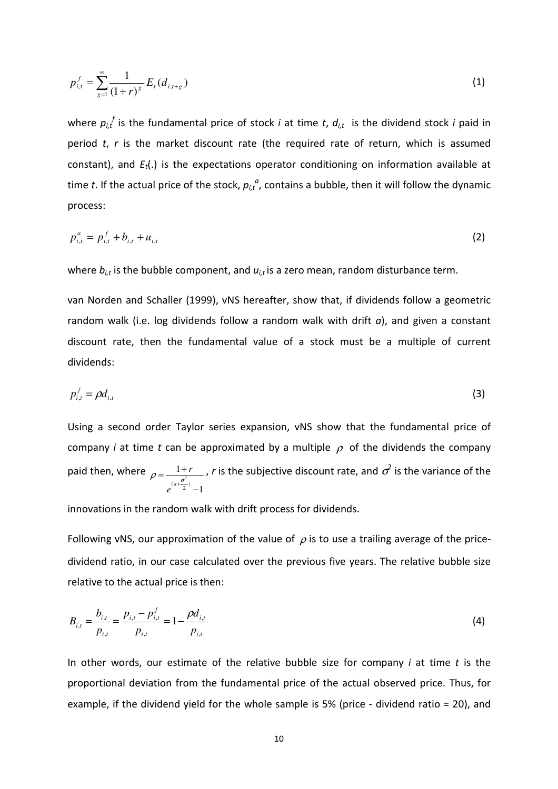$$
p_{i,t}^f = \sum_{g=1}^{\infty} \frac{1}{(1+r)^g} E_t(d_{i,t+g})
$$
\n(1)

where  $p_{i,t}^f$  is the fundamental price of stock *i* at time *t*,  $d_{i,t}$  is the dividend stock *i* paid in period *t*, *r* is the market discount rate (the required rate of return, which is assumed constant), and *Et*(.) is the expectations operator conditioning on information available at time *t*. If the actual price of the stock,  $p_{i,t}^a$ , contains a bubble, then it will follow the dynamic process:

$$
p_{i,t}^a = p_{i,t}^f + b_{i,t} + u_{i,t}
$$
 (2)

where  $b_{i,t}$  is the bubble component, and  $u_{i,t}$  is a zero mean, random disturbance term.

van Norden and Schaller (1999), vNS hereafter, show that, if dividends follow a geometric random walk (i.e. log dividends follow a random walk with drift *a*), and given a constant discount rate, then the fundamental value of a stock must be a multiple of current dividends:

$$
p_{i,t}^f = \rho d_{i,t} \tag{3}
$$

Using a second order Taylor series expansion, vNS show that the fundamental price of company *i* at time *t* can be approximated by a multiple  $\rho$  of the dividends the company paid then, where  $\frac{1+r}{\sqrt{r}}$ , r is the subjective discount rate, and  $\sigma^2$  is the variance of the 1 1  $(a+\frac{\sigma^2}{2})$ −  $\rho = \frac{1+}{e^{(a+\frac{\sigma^2}{2})}}$ *r*

innovations in the random walk with drift process for dividends.

Following vNS, our approximation of the value of  $\rho$  is to use a trailing average of the pricedividend ratio, in our case calculated over the previous five years. The relative bubble size relative to the actual price is then:

$$
B_{i,t} = \frac{b_{i,t}}{p_{i,t}} = \frac{p_{i,t} - p_{i,t}^f}{p_{i,t}} = 1 - \frac{\rho d_{i,t}}{p_{i,t}}
$$
(4)

In other words, our estimate of the relative bubble size for company *i* at time *t* is the proportional deviation from the fundamental price of the actual observed price. Thus, for example, if the dividend yield for the whole sample is 5% (price - dividend ratio = 20), and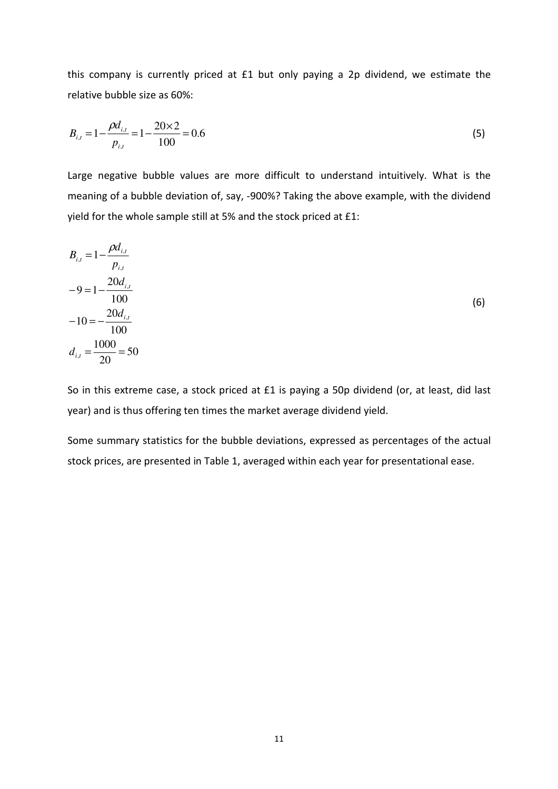this company is currently priced at £1 but only paying a 2p dividend, we estimate the relative bubble size as 60%:

$$
B_{i,t} = 1 - \frac{\rho d_{i,t}}{p_{i,t}} = 1 - \frac{20 \times 2}{100} = 0.6
$$
\n(5)

Large negative bubble values are more difficult to understand intuitively. What is the meaning of a bubble deviation of, say, -900%? Taking the above example, with the dividend yield for the whole sample still at 5% and the stock priced at £1:

$$
B_{i,t} = 1 - \frac{\rho d_{i,t}}{p_{i,t}}
$$
  
\n
$$
-9 = 1 - \frac{20d_{i,t}}{100}
$$
  
\n
$$
-10 = -\frac{20d_{i,t}}{100}
$$
  
\n
$$
d_{i,t} = \frac{1000}{20} = 50
$$
\n(6)

So in this extreme case, a stock priced at £1 is paying a 50p dividend (or, at least, did last year) and is thus offering ten times the market average dividend yield.

Some summary statistics for the bubble deviations, expressed as percentages of the actual stock prices, are presented in Table 1, averaged within each year for presentational ease.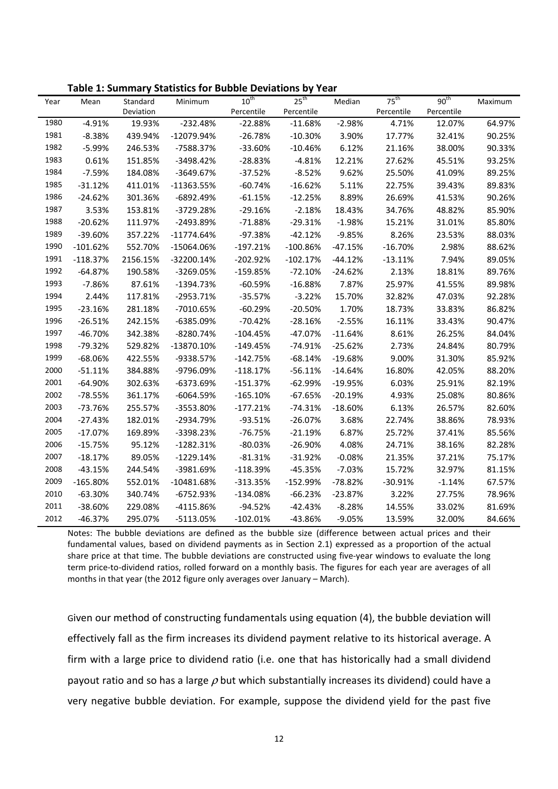|  | Table 1: Summary Statistics for Bubble Deviations by Year |  |
|--|-----------------------------------------------------------|--|
|--|-----------------------------------------------------------|--|

| Year | Mean       | Standard  | Minimum      | $10^{\text{th}}$ | $25^{\text{th}}$ | Median    | 75 <sup>th</sup> | 90 <sup>th</sup> | Maximum |
|------|------------|-----------|--------------|------------------|------------------|-----------|------------------|------------------|---------|
|      |            | Deviation |              | Percentile       | Percentile       |           | Percentile       | Percentile       |         |
| 1980 | $-4.91%$   | 19.93%    | $-232.48%$   | $-22.88%$        | $-11.68%$        | $-2.98%$  | 4.71%            | 12.07%           | 64.97%  |
| 1981 | $-8.38%$   | 439.94%   | -12079.94%   | $-26.78%$        | $-10.30%$        | 3.90%     | 17.77%           | 32.41%           | 90.25%  |
| 1982 | $-5.99%$   | 246.53%   | -7588.37%    | $-33.60%$        | $-10.46%$        | 6.12%     | 21.16%           | 38.00%           | 90.33%  |
| 1983 | 0.61%      | 151.85%   | -3498.42%    | $-28.83%$        | $-4.81%$         | 12.21%    | 27.62%           | 45.51%           | 93.25%  |
| 1984 | $-7.59%$   | 184.08%   | -3649.67%    | $-37.52%$        | $-8.52%$         | 9.62%     | 25.50%           | 41.09%           | 89.25%  |
| 1985 | $-31.12%$  | 411.01%   | -11363.55%   | $-60.74%$        | $-16.62%$        | 5.11%     | 22.75%           | 39.43%           | 89.83%  |
| 1986 | $-24.62%$  | 301.36%   | -6892.49%    | $-61.15%$        | $-12.25%$        | 8.89%     | 26.69%           | 41.53%           | 90.26%  |
| 1987 | 3.53%      | 153.81%   | -3729.28%    | $-29.16%$        | $-2.18%$         | 18.43%    | 34.76%           | 48.82%           | 85.90%  |
| 1988 | $-20.62%$  | 111.97%   | -2493.89%    | $-71.88%$        | $-29.31%$        | $-1.98%$  | 15.21%           | 31.01%           | 85.80%  |
| 1989 | -39.60%    | 357.22%   | $-11774.64%$ | -97.38%          | $-42.12%$        | $-9.85%$  | 8.26%            | 23.53%           | 88.03%  |
| 1990 | $-101.62%$ | 552.70%   | -15064.06%   | $-197.21%$       | $-100.86%$       | $-47.15%$ | $-16.70%$        | 2.98%            | 88.62%  |
| 1991 | $-118.37%$ | 2156.15%  | -32200.14%   | $-202.92%$       | $-102.17%$       | $-44.12%$ | $-13.11%$        | 7.94%            | 89.05%  |
| 1992 | $-64.87%$  | 190.58%   | -3269.05%    | $-159.85%$       | $-72.10%$        | $-24.62%$ | 2.13%            | 18.81%           | 89.76%  |
| 1993 | $-7.86%$   | 87.61%    | -1394.73%    | $-60.59%$        | $-16.88%$        | 7.87%     | 25.97%           | 41.55%           | 89.98%  |
| 1994 | 2.44%      | 117.81%   | -2953.71%    | $-35.57%$        | $-3.22%$         | 15.70%    | 32.82%           | 47.03%           | 92.28%  |
| 1995 | $-23.16%$  | 281.18%   | -7010.65%    | $-60.29%$        | $-20.50%$        | 1.70%     | 18.73%           | 33.83%           | 86.82%  |
| 1996 | $-26.51%$  | 242.15%   | -6385.09%    | $-70.42%$        | $-28.16%$        | $-2.55%$  | 16.11%           | 33.43%           | 90.47%  |
| 1997 | $-46.70%$  | 342.38%   | -8280.74%    | $-104.45%$       | $-47.07%$        | $-11.64%$ | 8.61%            | 26.25%           | 84.04%  |
| 1998 | $-79.32%$  | 529.82%   | -13870.10%   | $-149.45%$       | $-74.91%$        | $-25.62%$ | 2.73%            | 24.84%           | 80.79%  |
| 1999 | $-68.06%$  | 422.55%   | -9338.57%    | $-142.75%$       | $-68.14%$        | $-19.68%$ | 9.00%            | 31.30%           | 85.92%  |
| 2000 | $-51.11%$  | 384.88%   | -9796.09%    | $-118.17%$       | $-56.11%$        | $-14.64%$ | 16.80%           | 42.05%           | 88.20%  |
| 2001 | $-64.90%$  | 302.63%   | -6373.69%    | $-151.37%$       | $-62.99%$        | $-19.95%$ | 6.03%            | 25.91%           | 82.19%  |
| 2002 | $-78.55%$  | 361.17%   | -6064.59%    | $-165.10%$       | $-67.65%$        | $-20.19%$ | 4.93%            | 25.08%           | 80.86%  |
| 2003 | $-73.76%$  | 255.57%   | -3553.80%    | $-177.21%$       | $-74.31%$        | $-18.60%$ | 6.13%            | 26.57%           | 82.60%  |
| 2004 | $-27.43%$  | 182.01%   | -2934.79%    | $-93.51%$        | $-26.07%$        | 3.68%     | 22.74%           | 38.86%           | 78.93%  |
| 2005 | $-17.07%$  | 169.89%   | -3398.23%    | $-76.75%$        | $-21.19%$        | 6.87%     | 25.72%           | 37.41%           | 85.56%  |
| 2006 | $-15.75%$  | 95.12%    | $-1282.31%$  | $-80.03%$        | $-26.90%$        | 4.08%     | 24.71%           | 38.16%           | 82.28%  |
| 2007 | $-18.17%$  | 89.05%    | $-1229.14%$  | $-81.31%$        | $-31.92%$        | $-0.08%$  | 21.35%           | 37.21%           | 75.17%  |
| 2008 | $-43.15%$  | 244.54%   | -3981.69%    | $-118.39%$       | $-45.35%$        | $-7.03%$  | 15.72%           | 32.97%           | 81.15%  |
| 2009 | $-165.80%$ | 552.01%   | $-10481.68%$ | $-313.35%$       | $-152.99%$       | $-78.82%$ | $-30.91%$        | $-1.14%$         | 67.57%  |
| 2010 | $-63.30%$  | 340.74%   | -6752.93%    | $-134.08%$       | $-66.23%$        | $-23.87%$ | 3.22%            | 27.75%           | 78.96%  |
| 2011 | $-38.60%$  | 229.08%   | -4115.86%    | $-94.52%$        | $-42.43%$        | $-8.28%$  | 14.55%           | 33.02%           | 81.69%  |
| 2012 | $-46.37%$  | 295.07%   | -5113.05%    | $-102.01%$       | -43.86%          | $-9.05%$  | 13.59%           | 32.00%           | 84.66%  |

Notes: The bubble deviations are defined as the bubble size (difference between actual prices and their fundamental values, based on dividend payments as in Section 2.1) expressed as a proportion of the actual share price at that time. The bubble deviations are constructed using five-year windows to evaluate the long term price-to-dividend ratios, rolled forward on a monthly basis. The figures for each year are averages of all months in that year (the 2012 figure only averages over January – March).

Given our method of constructing fundamentals using equation (4), the bubble deviation will effectively fall as the firm increases its dividend payment relative to its historical average. A firm with a large price to dividend ratio (i.e. one that has historically had a small dividend payout ratio and so has a large  $\rho$  but which substantially increases its dividend) could have a very negative bubble deviation. For example, suppose the dividend yield for the past five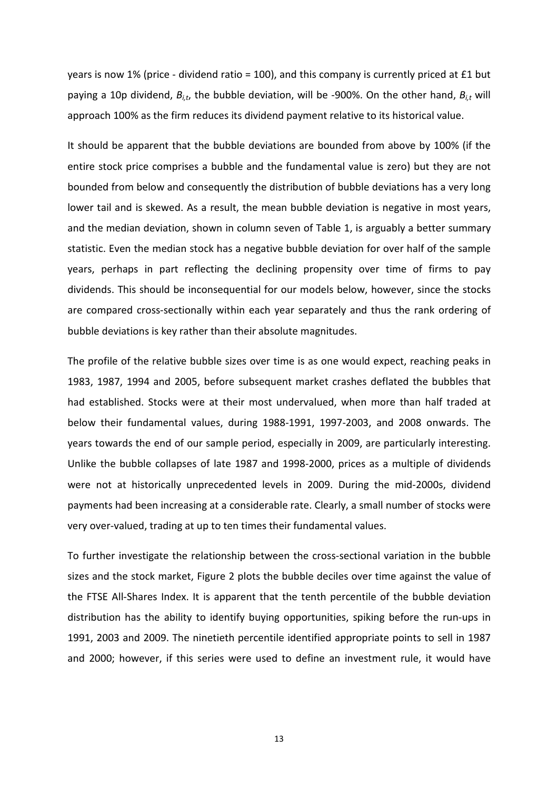years is now 1% (price - dividend ratio = 100), and this company is currently priced at £1 but paying a 10p dividend, *Bi,t*, the bubble deviation, will be -900%. On the other hand, *Bi,t* will approach 100% as the firm reduces its dividend payment relative to its historical value.

It should be apparent that the bubble deviations are bounded from above by 100% (if the entire stock price comprises a bubble and the fundamental value is zero) but they are not bounded from below and consequently the distribution of bubble deviations has a very long lower tail and is skewed. As a result, the mean bubble deviation is negative in most years, and the median deviation, shown in column seven of Table 1, is arguably a better summary statistic. Even the median stock has a negative bubble deviation for over half of the sample years, perhaps in part reflecting the declining propensity over time of firms to pay dividends. This should be inconsequential for our models below, however, since the stocks are compared cross-sectionally within each year separately and thus the rank ordering of bubble deviations is key rather than their absolute magnitudes.

The profile of the relative bubble sizes over time is as one would expect, reaching peaks in 1983, 1987, 1994 and 2005, before subsequent market crashes deflated the bubbles that had established. Stocks were at their most undervalued, when more than half traded at below their fundamental values, during 1988-1991, 1997-2003, and 2008 onwards. The years towards the end of our sample period, especially in 2009, are particularly interesting. Unlike the bubble collapses of late 1987 and 1998-2000, prices as a multiple of dividends were not at historically unprecedented levels in 2009. During the mid-2000s, dividend payments had been increasing at a considerable rate. Clearly, a small number of stocks were very over-valued, trading at up to ten times their fundamental values.

To further investigate the relationship between the cross-sectional variation in the bubble sizes and the stock market, Figure 2 plots the bubble deciles over time against the value of the FTSE All-Shares Index. It is apparent that the tenth percentile of the bubble deviation distribution has the ability to identify buying opportunities, spiking before the run-ups in 1991, 2003 and 2009. The ninetieth percentile identified appropriate points to sell in 1987 and 2000; however, if this series were used to define an investment rule, it would have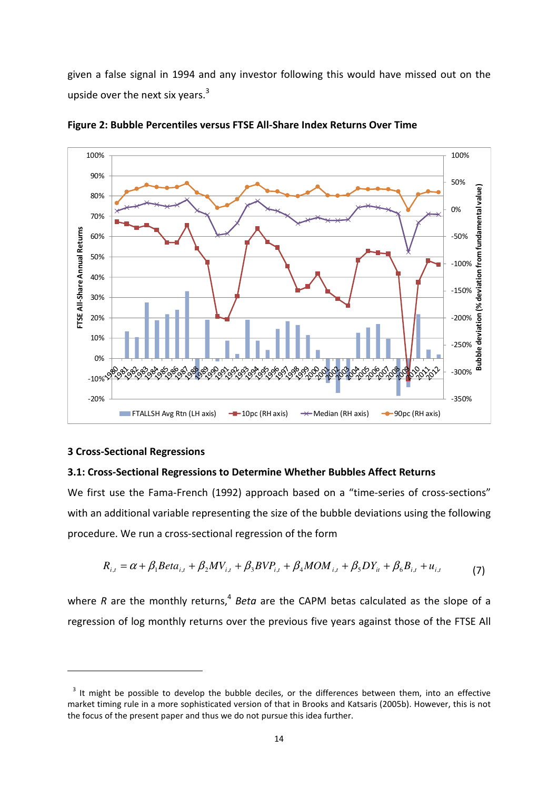given a false signal in 1994 and any investor following this would have missed out on the upside over the next six years. $3$ 



**Figure 2: Bubble Percentiles versus FTSE All-Share Index Returns Over Time** 

#### **3 Cross-Sectional Regressions**

 $\overline{\phantom{0}}$ 

#### **3.1: Cross-Sectional Regressions to Determine Whether Bubbles Affect Returns**

We first use the Fama-French (1992) approach based on a "time-series of cross-sections" with an additional variable representing the size of the bubble deviations using the following procedure. We run a cross-sectional regression of the form

$$
R_{i,t} = \alpha + \beta_1 Beta_{i,t} + \beta_2 MV_{i,t} + \beta_3 BVP_{i,t} + \beta_4 MOM_{i,t} + \beta_5 DY_{it} + \beta_6 B_{i,t} + u_{i,t}
$$
(7)

where R are the monthly returns,<sup>4</sup> Beta are the CAPM betas calculated as the slope of a regression of log monthly returns over the previous five years against those of the FTSE All

 $3$  It might be possible to develop the bubble deciles, or the differences between them, into an effective market timing rule in a more sophisticated version of that in Brooks and Katsaris (2005b). However, this is not the focus of the present paper and thus we do not pursue this idea further.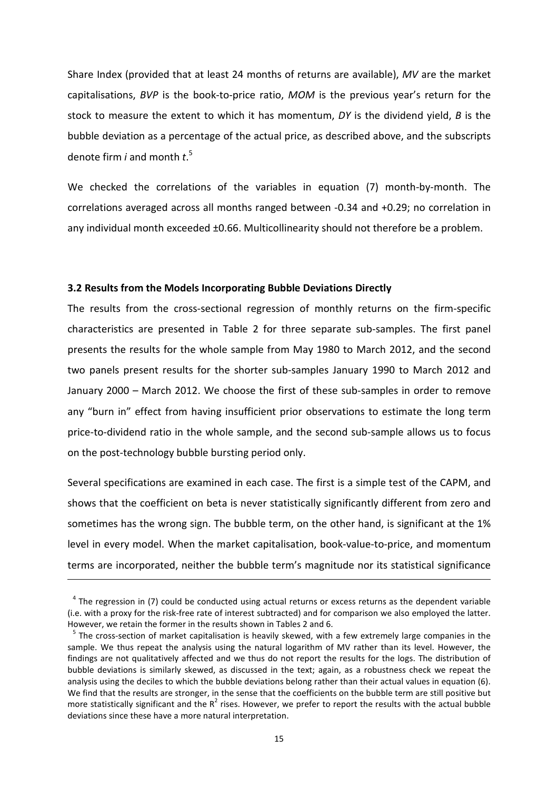Share Index (provided that at least 24 months of returns are available), *MV* are the market capitalisations, *BVP* is the book-to-price ratio, *MOM* is the previous year's return for the stock to measure the extent to which it has momentum, *DY* is the dividend yield, *B* is the bubble deviation as a percentage of the actual price, as described above, and the subscripts denote firm *i* and month *t*. 5

We checked the correlations of the variables in equation (7) month-by-month. The correlations averaged across all months ranged between -0.34 and +0.29; no correlation in any individual month exceeded ±0.66. Multicollinearity should not therefore be a problem.

#### **3.2 Results from the Models Incorporating Bubble Deviations Directly**

The results from the cross-sectional regression of monthly returns on the firm-specific characteristics are presented in Table 2 for three separate sub-samples. The first panel presents the results for the whole sample from May 1980 to March 2012, and the second two panels present results for the shorter sub-samples January 1990 to March 2012 and January 2000 – March 2012. We choose the first of these sub-samples in order to remove any "burn in" effect from having insufficient prior observations to estimate the long term price-to-dividend ratio in the whole sample, and the second sub-sample allows us to focus on the post-technology bubble bursting period only.

Several specifications are examined in each case. The first is a simple test of the CAPM, and shows that the coefficient on beta is never statistically significantly different from zero and sometimes has the wrong sign. The bubble term, on the other hand, is significant at the 1% level in every model. When the market capitalisation, book-value-to-price, and momentum terms are incorporated, neither the bubble term's magnitude nor its statistical significance

l

 $<sup>4</sup>$  The regression in (7) could be conducted using actual returns or excess returns as the dependent variable</sup> (i.e. with a proxy for the risk-free rate of interest subtracted) and for comparison we also employed the latter. However, we retain the former in the results shown in Tables 2 and 6.

<sup>&</sup>lt;sup>5</sup> The cross-section of market capitalisation is heavily skewed, with a few extremely large companies in the sample. We thus repeat the analysis using the natural logarithm of MV rather than its level. However, the findings are not qualitatively affected and we thus do not report the results for the logs. The distribution of bubble deviations is similarly skewed, as discussed in the text; again, as a robustness check we repeat the analysis using the deciles to which the bubble deviations belong rather than their actual values in equation (6). We find that the results are stronger, in the sense that the coefficients on the bubble term are still positive but more statistically significant and the R<sup>2</sup> rises. However, we prefer to report the results with the actual bubble deviations since these have a more natural interpretation.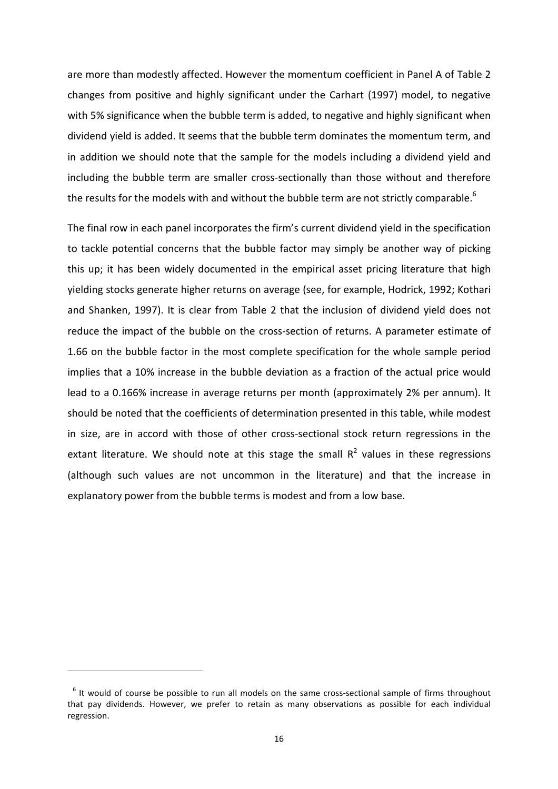are more than modestly affected. However the momentum coefficient in Panel A of Table 2 changes from positive and highly significant under the Carhart (1997) model, to negative with 5% significance when the bubble term is added, to negative and highly significant when dividend yield is added. It seems that the bubble term dominates the momentum term, and in addition we should note that the sample for the models including a dividend yield and including the bubble term are smaller cross-sectionally than those without and therefore the results for the models with and without the bubble term are not strictly comparable.<sup>6</sup>

The final row in each panel incorporates the firm's current dividend yield in the specification to tackle potential concerns that the bubble factor may simply be another way of picking this up; it has been widely documented in the empirical asset pricing literature that high yielding stocks generate higher returns on average (see, for example, Hodrick, 1992; Kothari and Shanken, 1997). It is clear from Table 2 that the inclusion of dividend yield does not reduce the impact of the bubble on the cross-section of returns. A parameter estimate of 1.66 on the bubble factor in the most complete specification for the whole sample period implies that a 10% increase in the bubble deviation as a fraction of the actual price would lead to a 0.166% increase in average returns per month (approximately 2% per annum). It should be noted that the coefficients of determination presented in this table, while modest in size, are in accord with those of other cross-sectional stock return regressions in the extant literature. We should note at this stage the small  $R^2$  values in these regressions (although such values are not uncommon in the literature) and that the increase in explanatory power from the bubble terms is modest and from a low base.

 $\overline{\phantom{0}}$ 

 $<sup>6</sup>$  It would of course be possible to run all models on the same cross-sectional sample of firms throughout</sup> that pay dividends. However, we prefer to retain as many observations as possible for each individual regression.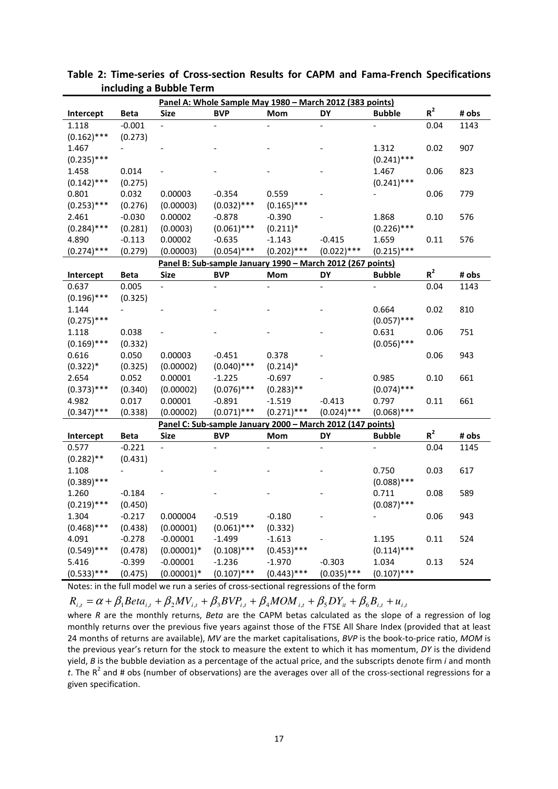| Panel A: Whole Sample May 1980 - March 2012 (383 points) |             |                          |               |               |                                                            |               |       |       |  |
|----------------------------------------------------------|-------------|--------------------------|---------------|---------------|------------------------------------------------------------|---------------|-------|-------|--|
| <b>Intercept</b>                                         | <b>Beta</b> | <b>Size</b>              | <b>BVP</b>    | Mom           | DY                                                         | <b>Bubble</b> | $R^2$ | # obs |  |
| 1.118                                                    | $-0.001$    | $\overline{a}$           |               |               |                                                            |               | 0.04  | 1143  |  |
| $(0.162)$ ***                                            | (0.273)     |                          |               |               |                                                            |               |       |       |  |
| 1.467                                                    |             |                          |               |               |                                                            | 1.312         | 0.02  | 907   |  |
| $(0.235)$ ***                                            |             |                          |               |               |                                                            | $(0.241)$ *** |       |       |  |
| 1.458                                                    | 0.014       |                          |               |               |                                                            | 1.467         | 0.06  | 823   |  |
| $(0.142)$ ***                                            | (0.275)     |                          |               |               |                                                            | $(0.241)$ *** |       |       |  |
| 0.801                                                    | 0.032       | 0.00003                  | $-0.354$      | 0.559         |                                                            |               | 0.06  | 779   |  |
| $(0.253)$ ***                                            | (0.276)     | (0.00003)                | $(0.032)$ *** | $(0.165)$ *** |                                                            |               |       |       |  |
| 2.461                                                    | $-0.030$    | 0.00002                  | $-0.878$      | $-0.390$      |                                                            | 1.868         | 0.10  | 576   |  |
| $(0.284)$ ***                                            | (0.281)     | (0.0003)                 | $(0.061)$ *** | $(0.211)^*$   |                                                            | $(0.226)$ *** |       |       |  |
| 4.890                                                    | $-0.113$    | 0.00002                  | $-0.635$      | $-1.143$      | $-0.415$                                                   | 1.659         | 0.11  | 576   |  |
| $(0.274)$ ***                                            | (0.279)     | (0.00003)                | $(0.054)$ *** | $(0.202)$ *** | $(0.022)$ ***                                              | $(0.215)$ *** |       |       |  |
|                                                          |             |                          |               |               | Panel B: Sub-sample January 1990 - March 2012 (267 points) |               |       |       |  |
| Intercept                                                | <b>Beta</b> | <b>Size</b>              | <b>BVP</b>    | Mom           | DY                                                         | <b>Bubble</b> | $R^2$ | # obs |  |
| 0.637                                                    | 0.005       | $\overline{\phantom{0}}$ |               |               | $\overline{a}$                                             |               | 0.04  | 1143  |  |
| $(0.196)$ ***                                            | (0.325)     |                          |               |               |                                                            |               |       |       |  |
| 1.144                                                    |             |                          |               |               |                                                            | 0.664         | 0.02  | 810   |  |
| $(0.275)$ ***                                            |             |                          |               |               |                                                            | $(0.057)$ *** |       |       |  |
| 1.118                                                    | 0.038       |                          |               |               |                                                            | 0.631         | 0.06  | 751   |  |
| $(0.169)$ ***                                            | (0.332)     |                          |               |               |                                                            | $(0.056)$ *** |       |       |  |
| 0.616                                                    | 0.050       | 0.00003                  | $-0.451$      | 0.378         |                                                            |               | 0.06  | 943   |  |
| $(0.322)*$                                               | (0.325)     | (0.00002)                | $(0.040)$ *** | $(0.214)^*$   |                                                            |               |       |       |  |
| 2.654                                                    | 0.052       | 0.00001                  | $-1.225$      | $-0.697$      |                                                            | 0.985         | 0.10  | 661   |  |
| $(0.373)$ ***                                            | (0.340)     | (0.00002)                | $(0.076)$ *** | $(0.283)$ **  |                                                            | $(0.074)$ *** |       |       |  |
| 4.982                                                    | 0.017       | 0.00001                  | $-0.891$      | $-1.519$      | $-0.413$                                                   | 0.797         | 0.11  | 661   |  |
| $(0.347)$ ***                                            | (0.338)     | (0.00002)                | $(0.071)$ *** | $(0.271)$ *** | $(0.024)$ ***                                              | $(0.068)$ *** |       |       |  |
|                                                          |             |                          |               |               | Panel C: Sub-sample January 2000 - March 2012 (147 points) |               |       |       |  |
| Intercept                                                | <b>Beta</b> | <b>Size</b>              | <b>BVP</b>    | Mom           | DY                                                         | <b>Bubble</b> | $R^2$ | # obs |  |
| 0.577                                                    | $-0.221$    | $\overline{\phantom{m}}$ |               |               | $\overline{a}$                                             |               | 0.04  | 1145  |  |
| $(0.282)$ **                                             | (0.431)     |                          |               |               |                                                            |               |       |       |  |
| 1.108                                                    |             |                          |               |               |                                                            | 0.750         | 0.03  | 617   |  |
| $(0.389)$ ***                                            |             |                          |               |               |                                                            | $(0.088)$ *** |       |       |  |
| 1.260                                                    | $-0.184$    |                          |               |               |                                                            | 0.711         | 0.08  | 589   |  |
| $(0.219)$ ***                                            | (0.450)     |                          |               |               |                                                            | $(0.087)$ *** |       |       |  |
| 1.304                                                    | $-0.217$    | 0.000004                 | $-0.519$      | $-0.180$      |                                                            |               | 0.06  | 943   |  |
| $(0.468)$ ***                                            | (0.438)     | (0.00001)                | $(0.061)$ *** | (0.332)       |                                                            |               |       |       |  |
| 4.091                                                    | $-0.278$    | $-0.00001$               | $-1.499$      | $-1.613$      |                                                            | 1.195         | 0.11  | 524   |  |
| $(0.549)$ ***                                            | (0.478)     | $(0.00001)*$             | $(0.108)$ *** | $(0.453)$ *** |                                                            | $(0.114)$ *** |       |       |  |
| 5.416                                                    | $-0.399$    | $-0.00001$               | $-1.236$      | $-1.970$      | $-0.303$                                                   | 1.034         | 0.13  | 524   |  |
| $(0.533)$ ***                                            | (0.475)     | $(0.00001)*$             | $(0.107)$ *** | $(0.443)$ *** | $(0.035)$ ***                                              | $(0.107)$ *** |       |       |  |

**Table 2: Time-series of Cross-section Results for CAPM and Fama-French Specifications including a Bubble Term**

Notes: in the full model we run a series of cross-sectional regressions of the form

 $R_{i,t} = \alpha + \beta_1 Beta_{i,t} + \beta_2 MV_{i,t} + \beta_3 BVP_{i,t} + \beta_4 MOM_{i,t} + \beta_5 DY_{i,t} + \beta_6 B_{i,t} + u_{i,t}$ 

where *R* are the monthly returns, *Beta* are the CAPM betas calculated as the slope of a regression of log monthly returns over the previous five years against those of the FTSE All Share Index (provided that at least 24 months of returns are available), *MV* are the market capitalisations, *BVP* is the book-to-price ratio, *MOM* is the previous year's return for the stock to measure the extent to which it has momentum, *DY* is the dividend yield, *B* is the bubble deviation as a percentage of the actual price, and the subscripts denote firm *i* and month t. The R<sup>2</sup> and # obs (number of observations) are the averages over all of the cross-sectional regressions for a given specification.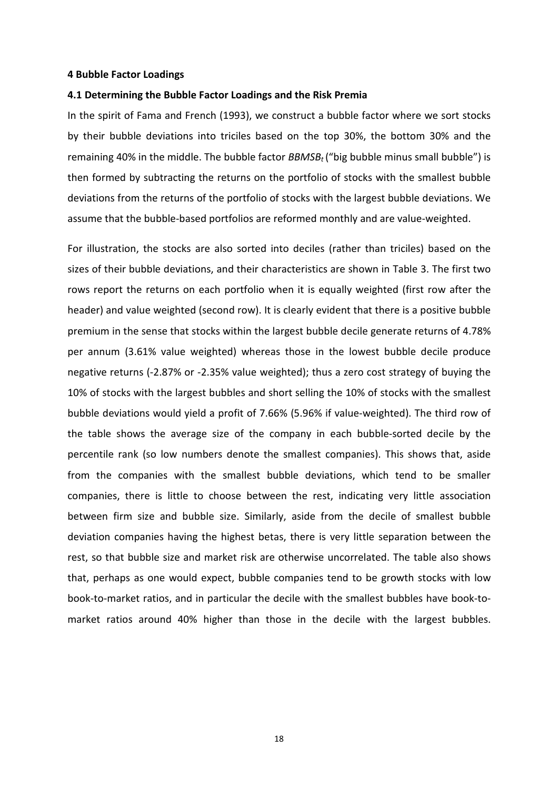#### **4 Bubble Factor Loadings**

#### **4.1 Determining the Bubble Factor Loadings and the Risk Premia**

In the spirit of Fama and French (1993), we construct a bubble factor where we sort stocks by their bubble deviations into triciles based on the top 30%, the bottom 30% and the remaining 40% in the middle. The bubble factor *BBMSBt* ("big bubble minus small bubble") is then formed by subtracting the returns on the portfolio of stocks with the smallest bubble deviations from the returns of the portfolio of stocks with the largest bubble deviations. We assume that the bubble-based portfolios are reformed monthly and are value-weighted.

For illustration, the stocks are also sorted into deciles (rather than triciles) based on the sizes of their bubble deviations, and their characteristics are shown in Table 3. The first two rows report the returns on each portfolio when it is equally weighted (first row after the header) and value weighted (second row). It is clearly evident that there is a positive bubble premium in the sense that stocks within the largest bubble decile generate returns of 4.78% per annum (3.61% value weighted) whereas those in the lowest bubble decile produce negative returns (-2.87% or -2.35% value weighted); thus a zero cost strategy of buying the 10% of stocks with the largest bubbles and short selling the 10% of stocks with the smallest bubble deviations would yield a profit of 7.66% (5.96% if value-weighted). The third row of the table shows the average size of the company in each bubble-sorted decile by the percentile rank (so low numbers denote the smallest companies). This shows that, aside from the companies with the smallest bubble deviations, which tend to be smaller companies, there is little to choose between the rest, indicating very little association between firm size and bubble size. Similarly, aside from the decile of smallest bubble deviation companies having the highest betas, there is very little separation between the rest, so that bubble size and market risk are otherwise uncorrelated. The table also shows that, perhaps as one would expect, bubble companies tend to be growth stocks with low book-to-market ratios, and in particular the decile with the smallest bubbles have book-tomarket ratios around 40% higher than those in the decile with the largest bubbles.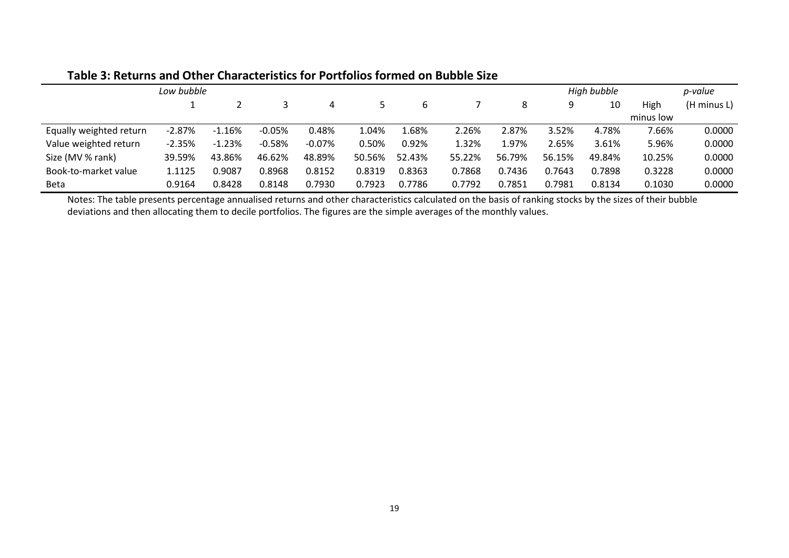|                         | Low bubble |          |          |           |        |        |        |        |        | High bubble |           | p-value     |
|-------------------------|------------|----------|----------|-----------|--------|--------|--------|--------|--------|-------------|-----------|-------------|
|                         |            |          |          | 4         |        | 6      |        | 8      | 9      | 10          | High      | (H minus L) |
|                         |            |          |          |           |        |        |        |        |        |             | minus low |             |
| Equally weighted return | $-2.87\%$  | $-1.16%$ | $-0.05%$ | 0.48%     | L.04%  | 1.68%  | 2.26%  | 2.87%  | 3.52%  | 4.78%       | 7.66%     | 0.0000      |
| Value weighted return   | $-2.35%$   | $-1.23%$ | $-0.58%$ | $-0.07\%$ | 0.50%  | 0.92%  | 1.32%  | 1.97%  | 2.65%  | 3.61%       | 5.96%     | 0.0000      |
| Size (MV % rank)        | 39.59%     | 43.86%   | 46.62%   | 48.89%    | 50.56% | 52.43% | 55.22% | 56.79% | 56.15% | 49.84%      | 10.25%    | 0.0000      |
| Book-to-market value    | 1.1125     | 0.9087   | 0.8968   | 0.8152    | 0.8319 | 0.8363 | 0.7868 | 0.7436 | 0.7643 | 0.7898      | 0.3228    | 0.0000      |
| <b>Beta</b>             | 0.9164     | 0.8428   | 0.8148   | 0.7930    | 0.7923 | 0.7786 | 0.7792 | 0.7851 | 0.7981 | 0.8134      | 0.1030    | 0.0000      |

**Table 3: Returns and Other Characteristics for Portfolios formed on Bubble Size** 

Notes: The table presents percentage annualised returns and other characteristics calculated on the basis of ranking stocks by the sizes of their bubble deviations and then allocating them to decile portfolios. The figures are the simple averages of the monthly values.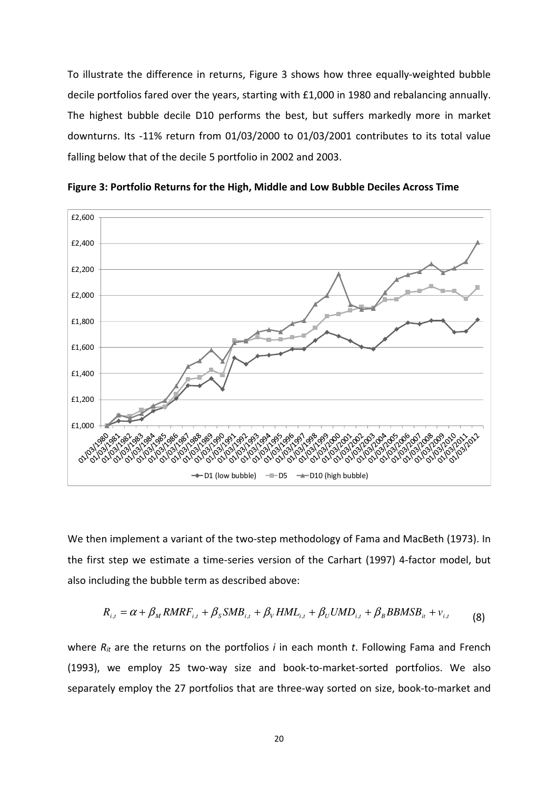To illustrate the difference in returns, Figure 3 shows how three equally-weighted bubble decile portfolios fared over the years, starting with £1,000 in 1980 and rebalancing annually. The highest bubble decile D10 performs the best, but suffers markedly more in market downturns. Its -11% return from 01/03/2000 to 01/03/2001 contributes to its total value falling below that of the decile 5 portfolio in 2002 and 2003.



**Figure 3: Portfolio Returns for the High, Middle and Low Bubble Deciles Across Time** 

We then implement a variant of the two-step methodology of Fama and MacBeth (1973). In the first step we estimate a time-series version of the Carhart (1997) 4-factor model, but also including the bubble term as described above:

$$
R_{i,t} = \alpha + \beta_M RMRF_{i,t} + \beta_S SMB_{i,t} + \beta_V HML_{i,t} + \beta_U UMD_{i,t} + \beta_B BMSB_{it} + v_{i,t}
$$
(8)

where  $R_{it}$  are the returns on the portfolios *i* in each month *t*. Following Fama and French (1993), we employ 25 two-way size and book-to-market-sorted portfolios. We also separately employ the 27 portfolios that are three-way sorted on size, book-to-market and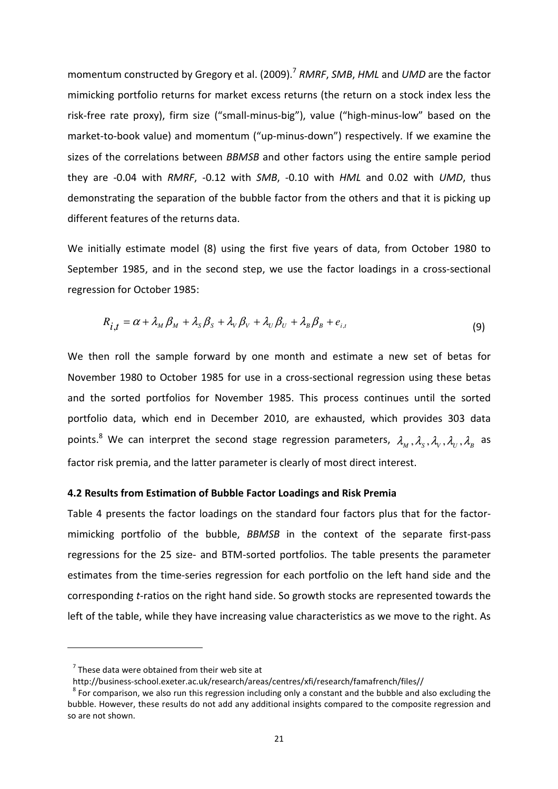momentum constructed by Gregory et al. (2009).<sup>7</sup> *RMRF*, *SMB*, *HML* and *UMD* are the factor mimicking portfolio returns for market excess returns (the return on a stock index less the risk-free rate proxy), firm size ("small-minus-big"), value ("high-minus-low" based on the market-to-book value) and momentum ("up-minus-down") respectively. If we examine the sizes of the correlations between *BBMSB* and other factors using the entire sample period they are -0.04 with *RMRF*, -0.12 with *SMB*, -0.10 with *HML* and 0.02 with *UMD*, thus demonstrating the separation of the bubble factor from the others and that it is picking up different features of the returns data.

We initially estimate model (8) using the first five years of data, from October 1980 to September 1985, and in the second step, we use the factor loadings in a cross-sectional regression for October 1985:

$$
R_{i,t} = \alpha + \lambda_M \beta_M + \lambda_S \beta_S + \lambda_V \beta_V + \lambda_U \beta_U + \lambda_B \beta_B + e_{i,t}
$$
\n(9)

We then roll the sample forward by one month and estimate a new set of betas for November 1980 to October 1985 for use in a cross-sectional regression using these betas and the sorted portfolios for November 1985. This process continues until the sorted portfolio data, which end in December 2010, are exhausted, which provides 303 data points.<sup>8</sup> We can interpret the second stage regression parameters,  $\lambda_M^{},\lambda_S^{},\lambda_V^{},\lambda_H^{},\lambda_B^{}$  as factor risk premia, and the latter parameter is clearly of most direct interest.

#### **4.2 Results from Estimation of Bubble Factor Loadings and Risk Premia**

Table 4 presents the factor loadings on the standard four factors plus that for the factormimicking portfolio of the bubble, *BBMSB* in the context of the separate first-pass regressions for the 25 size- and BTM-sorted portfolios. The table presents the parameter estimates from the time-series regression for each portfolio on the left hand side and the corresponding *t*-ratios on the right hand side. So growth stocks are represented towards the left of the table, while they have increasing value characteristics as we move to the right. As

 $\overline{a}$ 

 $\frac{7}{7}$  These data were obtained from their web site at

http://business-school.exeter.ac.uk/research/areas/centres/xfi/research/famafrench/files//

 $^8$  For comparison, we also run this regression including only a constant and the bubble and also excluding the bubble. However, these results do not add any additional insights compared to the composite regression and so are not shown.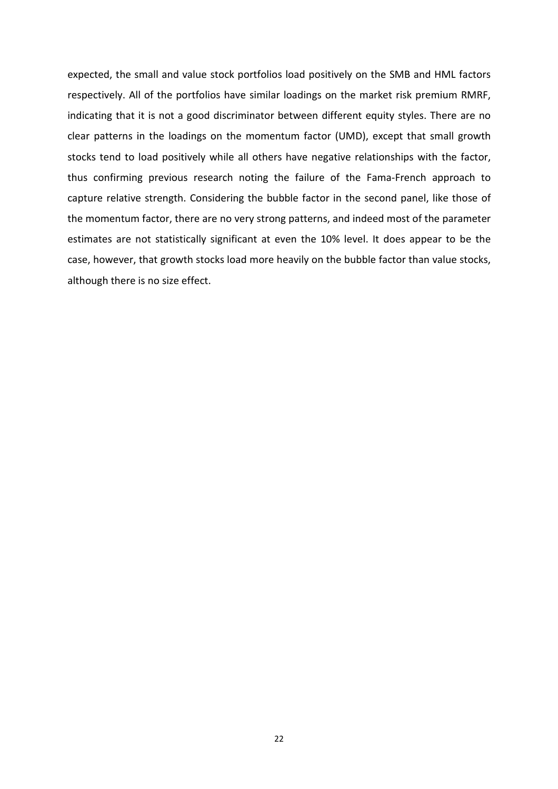expected, the small and value stock portfolios load positively on the SMB and HML factors respectively. All of the portfolios have similar loadings on the market risk premium RMRF, indicating that it is not a good discriminator between different equity styles. There are no clear patterns in the loadings on the momentum factor (UMD), except that small growth stocks tend to load positively while all others have negative relationships with the factor, thus confirming previous research noting the failure of the Fama-French approach to capture relative strength. Considering the bubble factor in the second panel, like those of the momentum factor, there are no very strong patterns, and indeed most of the parameter estimates are not statistically significant at even the 10% level. It does appear to be the case, however, that growth stocks load more heavily on the bubble factor than value stocks, although there is no size effect.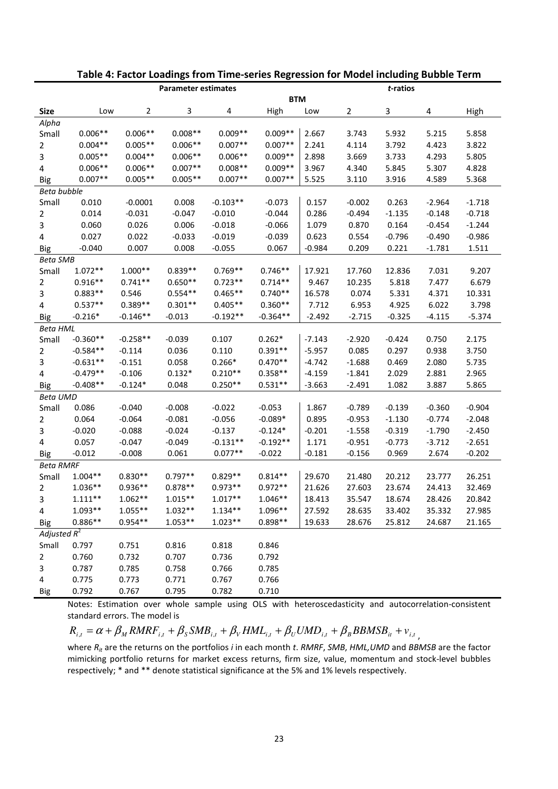|                  | t-ratios<br><b>Parameter estimates</b> |            |           |            |            |          |                |          |          |          |
|------------------|----------------------------------------|------------|-----------|------------|------------|----------|----------------|----------|----------|----------|
|                  |                                        |            |           |            | <b>BTM</b> |          |                |          |          |          |
| <b>Size</b>      | Low                                    | 2          | 3         | 4          | High       | Low      | $\overline{2}$ | 3        | 4        | High     |
| Alpha            |                                        |            |           |            |            |          |                |          |          |          |
| Small            | $0.006**$                              | $0.006**$  | $0.008**$ | $0.009**$  | $0.009**$  | 2.667    | 3.743          | 5.932    | 5.215    | 5.858    |
| 2                | $0.004**$                              | $0.005**$  | $0.006**$ | $0.007**$  | $0.007**$  | 2.241    | 4.114          | 3.792    | 4.423    | 3.822    |
| 3                | $0.005**$                              | $0.004**$  | $0.006**$ | $0.006**$  | $0.009**$  | 2.898    | 3.669          | 3.733    | 4.293    | 5.805    |
| 4                | $0.006**$                              | $0.006**$  | $0.007**$ | $0.008**$  | $0.009**$  | 3.967    | 4.340          | 5.845    | 5.307    | 4.828    |
| <b>Big</b>       | $0.007**$                              | $0.005**$  | $0.005**$ | $0.007**$  | $0.007**$  | 5.525    | 3.110          | 3.916    | 4.589    | 5.368    |
| Beta bubble      |                                        |            |           |            |            |          |                |          |          |          |
| Small            | 0.010                                  | $-0.0001$  | 0.008     | $-0.103**$ | $-0.073$   | 0.157    | $-0.002$       | 0.263    | $-2.964$ | $-1.718$ |
| 2                | 0.014                                  | $-0.031$   | $-0.047$  | $-0.010$   | $-0.044$   | 0.286    | $-0.494$       | $-1.135$ | $-0.148$ | $-0.718$ |
| 3                | 0.060                                  | 0.026      | 0.006     | $-0.018$   | $-0.066$   | 1.079    | 0.870          | 0.164    | $-0.454$ | $-1.244$ |
| 4                | 0.027                                  | 0.022      | $-0.033$  | $-0.019$   | $-0.039$   | 0.623    | 0.554          | $-0.796$ | $-0.490$ | $-0.986$ |
| <b>Big</b>       | $-0.040$                               | 0.007      | 0.008     | $-0.055$   | 0.067      | $-0.984$ | 0.209          | 0.221    | $-1.781$ | 1.511    |
| <b>Beta SMB</b>  |                                        |            |           |            |            |          |                |          |          |          |
| Small            | $1.072**$                              | $1.000**$  | $0.839**$ | $0.769**$  | $0.746**$  | 17.921   | 17.760         | 12.836   | 7.031    | 9.207    |
| $\overline{2}$   | $0.916**$                              | $0.741**$  | $0.650**$ | $0.723**$  | $0.714**$  | 9.467    | 10.235         | 5.818    | 7.477    | 6.679    |
| 3                | $0.883**$                              | 0.546      | $0.554**$ | $0.465**$  | $0.740**$  | 16.578   | 0.074          | 5.331    | 4.371    | 10.331   |
| 4                | $0.537**$                              | $0.389**$  | $0.301**$ | $0.405**$  | $0.360**$  | 7.712    | 6.953          | 4.925    | 6.022    | 3.798    |
| <b>Big</b>       | $-0.216*$                              | $-0.146**$ | $-0.013$  | $-0.192**$ | $-0.364**$ | $-2.492$ | $-2.715$       | $-0.325$ | $-4.115$ | $-5.374$ |
| <b>Beta HML</b>  |                                        |            |           |            |            |          |                |          |          |          |
| Small            | $-0.360**$                             | $-0.258**$ | $-0.039$  | 0.107      | $0.262*$   | $-7.143$ | $-2.920$       | $-0.424$ | 0.750    | 2.175    |
| $\overline{2}$   | $-0.584**$                             | $-0.114$   | 0.036     | 0.110      | $0.391**$  | $-5.957$ | 0.085          | 0.297    | 0.938    | 3.750    |
| 3                | $-0.631**$                             | $-0.151$   | 0.058     | $0.266*$   | $0.470**$  | $-4.742$ | $-1.688$       | 0.469    | 2.080    | 5.735    |
| 4                | $-0.479**$                             | $-0.106$   | $0.132*$  | $0.210**$  | $0.358**$  | $-4.159$ | $-1.841$       | 2.029    | 2.881    | 2.965    |
| <b>Big</b>       | $-0.408**$                             | $-0.124*$  | 0.048     | $0.250**$  | $0.531**$  | $-3.663$ | $-2.491$       | 1.082    | 3.887    | 5.865    |
| <b>Beta UMD</b>  |                                        |            |           |            |            |          |                |          |          |          |
| Small            | 0.086                                  | $-0.040$   | $-0.008$  | $-0.022$   | $-0.053$   | 1.867    | $-0.789$       | $-0.139$ | $-0.360$ | $-0.904$ |
| 2                | 0.064                                  | $-0.064$   | $-0.081$  | $-0.056$   | $-0.089*$  | 0.895    | $-0.953$       | $-1.130$ | $-0.774$ | $-2.048$ |
| 3                | $-0.020$                               | $-0.088$   | $-0.024$  | $-0.137$   | $-0.124*$  | $-0.201$ | $-1.558$       | $-0.319$ | $-1.790$ | $-2.450$ |
| 4                | 0.057                                  | $-0.047$   | $-0.049$  | $-0.131**$ | $-0.192**$ | 1.171    | $-0.951$       | $-0.773$ | $-3.712$ | $-2.651$ |
| <b>Big</b>       | $-0.012$                               | $-0.008$   | 0.061     | $0.077**$  | $-0.022$   | $-0.181$ | $-0.156$       | 0.969    | 2.674    | $-0.202$ |
| <b>Beta RMRF</b> |                                        |            |           |            |            |          |                |          |          |          |
| Small            | $1.004**$                              | $0.830**$  | $0.797**$ | $0.829**$  | $0.814**$  | 29.670   | 21.480         | 20.212   | 23.777   | 26.251   |
| 2                | $1.036**$                              | $0.936**$  | $0.878**$ | $0.973**$  | $0.972**$  | 21.626   | 27.603         | 23.674   | 24.413   | 32.469   |
| 3                | $1.111**$                              | $1.062**$  | $1.015**$ | $1.017**$  | $1.046**$  | 18.413   | 35.547         | 18.674   | 28.426   | 20.842   |
| 4                | $1.093**$                              | $1.055**$  | $1.032**$ | $1.134**$  | 1.096**    | 27.592   | 28.635         | 33.402   | 35.332   | 27.985   |
| <b>Big</b>       | $0.886**$                              | $0.954**$  | $1.053**$ | $1.023**$  | $0.898**$  | 19.633   | 28.676         | 25.812   | 24.687   | 21.165   |
| Adjusted $R^2$   |                                        |            |           |            |            |          |                |          |          |          |
| Small            | 0.797                                  | 0.751      | 0.816     | 0.818      | 0.846      |          |                |          |          |          |
| $\overline{2}$   | 0.760                                  | 0.732      | 0.707     | 0.736      | 0.792      |          |                |          |          |          |
| 3                | 0.787                                  | 0.785      | 0.758     | 0.766      | 0.785      |          |                |          |          |          |
| 4                | 0.775                                  | 0.773      | 0.771     | 0.767      | 0.766      |          |                |          |          |          |
| <b>Big</b>       | 0.792                                  | 0.767      | 0.795     | 0.782      | 0.710      |          |                |          |          |          |

**Table 4: Factor Loadings from Time-series Regression for Model including Bubble Term** 

Notes: Estimation over whole sample using OLS with heteroscedasticity and autocorrelation-consistent standard errors. The model is

$$
R_{i,t} = \alpha + \beta_M RMRF_{i,t} + \beta_S SMB_{i,t} + \beta_V HML_{i,t} + \beta_U UMD_{i,t} + \beta_B BMSB_{it} + v_{i,t}
$$

where *Rit* are the returns on the portfolios *i* in each month *t*. *RMRF*, *SMB*, *HML,UMD* and *BBMSB* are the factor mimicking portfolio returns for market excess returns, firm size, value, momentum and stock-level bubbles respectively; \* and \*\* denote statistical significance at the 5% and 1% levels respectively.

,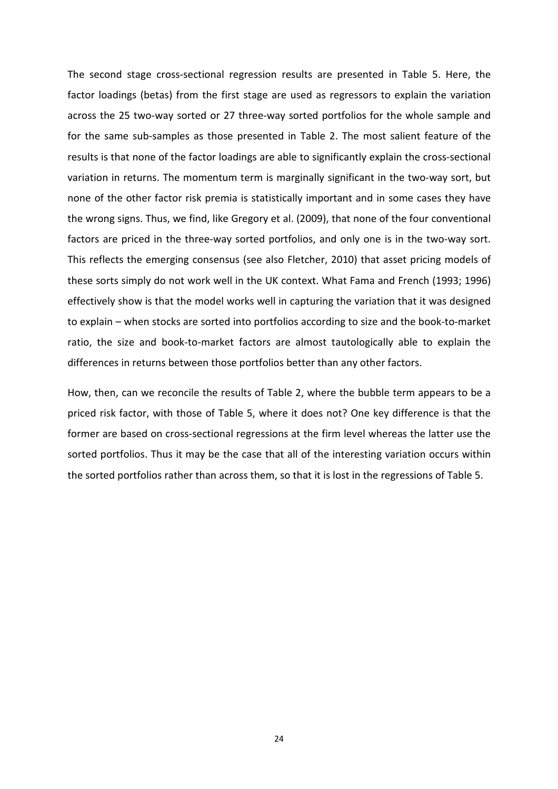The second stage cross-sectional regression results are presented in Table 5. Here, the factor loadings (betas) from the first stage are used as regressors to explain the variation across the 25 two-way sorted or 27 three-way sorted portfolios for the whole sample and for the same sub-samples as those presented in Table 2. The most salient feature of the results is that none of the factor loadings are able to significantly explain the cross-sectional variation in returns. The momentum term is marginally significant in the two-way sort, but none of the other factor risk premia is statistically important and in some cases they have the wrong signs. Thus, we find, like Gregory et al. (2009), that none of the four conventional factors are priced in the three-way sorted portfolios, and only one is in the two-way sort. This reflects the emerging consensus (see also Fletcher, 2010) that asset pricing models of these sorts simply do not work well in the UK context. What Fama and French (1993; 1996) effectively show is that the model works well in capturing the variation that it was designed to explain – when stocks are sorted into portfolios according to size and the book-to-market ratio, the size and book-to-market factors are almost tautologically able to explain the differences in returns between those portfolios better than any other factors.

How, then, can we reconcile the results of Table 2, where the bubble term appears to be a priced risk factor, with those of Table 5, where it does not? One key difference is that the former are based on cross-sectional regressions at the firm level whereas the latter use the sorted portfolios. Thus it may be the case that all of the interesting variation occurs within the sorted portfolios rather than across them, so that it is lost in the regressions of Table 5.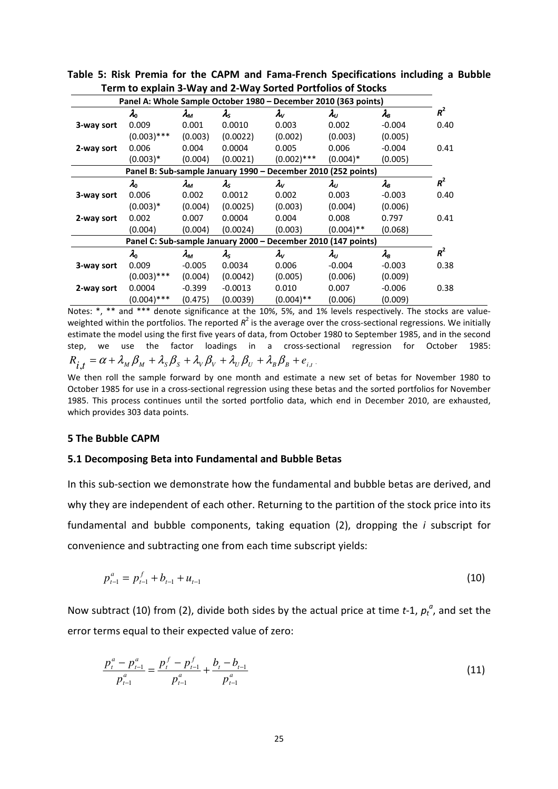|                                                               | TOTHER CAPIGNES TRUY GING & TRUY SOFICUT OF HONOS OF SIGGAS |                                      |                                           |                                                                 |                                   |                                           |       |  |  |  |  |  |
|---------------------------------------------------------------|-------------------------------------------------------------|--------------------------------------|-------------------------------------------|-----------------------------------------------------------------|-----------------------------------|-------------------------------------------|-------|--|--|--|--|--|
|                                                               |                                                             |                                      |                                           | Panel A: Whole Sample October 1980 - December 2010 (363 points) |                                   |                                           |       |  |  |  |  |  |
|                                                               | $\lambda_{\text{o}}$                                        | $\lambda_{\scriptscriptstyle\cal M}$ | $\lambda_{\mathsf{s}}$                    | $\lambda_{\rm v}$                                               | $\lambda_{\text{\tiny U}}$        | $\lambda_{\scriptscriptstyle\mathsf{R}}$  | $R^2$ |  |  |  |  |  |
| 3-way sort                                                    | 0.009                                                       | 0.001                                | 0.0010                                    | 0.003                                                           | 0.002                             | $-0.004$                                  | 0.40  |  |  |  |  |  |
|                                                               | $(0.003)$ ***                                               | (0.003)                              | (0.0022)                                  | (0.002)                                                         | (0.003)                           | (0.005)                                   |       |  |  |  |  |  |
| 2-way sort                                                    | 0.006                                                       | 0.004                                | 0.0004                                    | 0.005                                                           | 0.006                             | $-0.004$                                  | 0.41  |  |  |  |  |  |
|                                                               | $(0.003)*$                                                  | (0.004)                              | (0.0021)                                  | $(0.002)$ ***                                                   | $(0.004)*$                        | (0.005)                                   |       |  |  |  |  |  |
| Panel B: Sub-sample January 1990 - December 2010 (252 points) |                                                             |                                      |                                           |                                                                 |                                   |                                           |       |  |  |  |  |  |
|                                                               | $\lambda_{0}$                                               | $\lambda_{\rm M}$                    | $\lambda_{\text{c}}$                      | $\lambda_{\rm v}$                                               | $\lambda_{\scriptscriptstyle U}$  | $\lambda_{\scriptscriptstyle\mathsf{R}}$  | $R^2$ |  |  |  |  |  |
| 3-way sort                                                    | 0.006                                                       | 0.002                                | 0.0012                                    | 0.002                                                           | 0.003                             | $-0.003$                                  | 0.40  |  |  |  |  |  |
|                                                               | $(0.003)*$                                                  | (0.004)                              | (0.0025)                                  | (0.003)                                                         | (0.004)                           | (0.006)                                   |       |  |  |  |  |  |
| 2-way sort                                                    | 0.002                                                       | 0.007                                | 0.0004                                    | 0.004                                                           | 0.008                             | 0.797                                     | 0.41  |  |  |  |  |  |
|                                                               | (0.004)                                                     | (0.004)                              | (0.0024)                                  | (0.003)                                                         | $(0.004)$ **                      | (0.068)                                   |       |  |  |  |  |  |
|                                                               |                                                             |                                      |                                           | Panel C: Sub-sample January 2000 - December 2010 (147 points)   |                                   |                                           |       |  |  |  |  |  |
|                                                               | $\lambda_{\text{o}}$                                        | $\lambda_{\scriptscriptstyle\cal M}$ | $\lambda_{\scriptscriptstyle \mathsf{S}}$ | $\lambda_{\rm v}$                                               | $\lambda_{\scriptscriptstyle II}$ | $\lambda_{\scriptscriptstyle\mathcal{B}}$ | $R^2$ |  |  |  |  |  |
| 3-way sort                                                    | 0.009                                                       | $-0.005$                             | 0.0034                                    | 0.006                                                           | $-0.004$                          | $-0.003$                                  | 0.38  |  |  |  |  |  |
|                                                               | $(0.003)$ ***                                               | (0.004)                              | (0.0042)                                  | (0.005)                                                         | (0.006)                           | (0.009)                                   |       |  |  |  |  |  |
| 2-way sort                                                    | 0.0004                                                      | $-0.399$                             | $-0.0013$                                 | 0.010                                                           | 0.007                             | $-0.006$                                  | 0.38  |  |  |  |  |  |
|                                                               | $(0.004)$ ***                                               | (0.475)                              | (0.0039)                                  | $(0.004)$ **                                                    | (0.006)                           | (0.009)                                   |       |  |  |  |  |  |

|  |  |  |                                                             | Table 5: Risk Premia for the CAPM and Fama-French Specifications including a Bubble |  |  |
|--|--|--|-------------------------------------------------------------|-------------------------------------------------------------------------------------|--|--|
|  |  |  | Term to explain 3-Way and 2-Way Sorted Portfolios of Stocks |                                                                                     |  |  |

Notes: \*, \*\* and \*\*\* denote significance at the 10%, 5%, and 1% levels respectively. The stocks are valueweighted within the portfolios. The reported  $R^2$  is the average over the cross-sectional regressions. We initially estimate the model using the first five years of data, from October 1980 to September 1985, and in the second step, we use the factor loadings in a cross-sectional regression for October 1985:  $R_{\vec{i},t} = \alpha + \lambda_M \beta_M + \lambda_S \beta_S + \lambda_V \beta_V + \lambda_U \beta_U + \lambda_B \beta_B + e_{i,t}$ .

We then roll the sample forward by one month and estimate a new set of betas for November 1980 to October 1985 for use in a cross-sectional regression using these betas and the sorted portfolios for November 1985. This process continues until the sorted portfolio data, which end in December 2010, are exhausted, which provides 303 data points.

#### **5 The Bubble CAPM**

#### **5.1 Decomposing Beta into Fundamental and Bubble Betas**

In this sub-section we demonstrate how the fundamental and bubble betas are derived, and why they are independent of each other. Returning to the partition of the stock price into its fundamental and bubble components, taking equation (2), dropping the *i* subscript for convenience and subtracting one from each time subscript yields:

$$
p_{t-1}^a = p_{t-1}^f + b_{t-1} + u_{t-1}
$$
 (10)

Now subtract (10) from (2), divide both sides by the actual price at time  $t$ -1,  $p_t^{\alpha}$ , and set the error terms equal to their expected value of zero:

$$
\frac{p_t^a - p_{t-1}^a}{p_{t-1}^a} = \frac{p_t^f - p_{t-1}^f}{p_{t-1}^a} + \frac{b_t - b_{t-1}}{p_{t-1}^a}
$$
\n(11)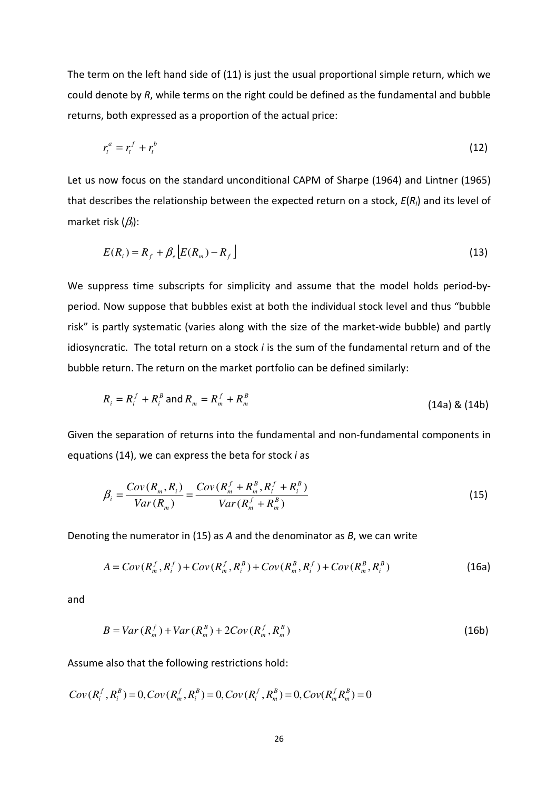The term on the left hand side of (11) is just the usual proportional simple return, which we could denote by *R*, while terms on the right could be defined as the fundamental and bubble returns, both expressed as a proportion of the actual price:

$$
r_t^a = r_t^f + r_t^b \tag{12}
$$

Let us now focus on the standard unconditional CAPM of Sharpe (1964) and Lintner (1965) that describes the relationship between the expected return on a stock, *E*(*Ri*) and its level of market risk (β*i*):

$$
E(R_i) = R_f + \beta_e \left[ E(R_m) - R_f \right] \tag{13}
$$

We suppress time subscripts for simplicity and assume that the model holds period-byperiod. Now suppose that bubbles exist at both the individual stock level and thus "bubble risk" is partly systematic (varies along with the size of the market-wide bubble) and partly idiosyncratic. The total return on a stock *i* is the sum of the fundamental return and of the bubble return. The return on the market portfolio can be defined similarly:

$$
R_i = R_i^f + R_i^B \text{ and } R_m = R_m^f + R_m^B \tag{14a} \tag{14b}
$$

Given the separation of returns into the fundamental and non-fundamental components in equations (14), we can express the beta for stock *i* as

$$
\beta_{i} = \frac{Cov(R_{m}, R_{i})}{Var(R_{m})} = \frac{Cov(R_{m}^{f} + R_{m}^{B}, R_{i}^{f} + R_{i}^{B})}{Var(R_{m}^{f} + R_{m}^{B})}
$$
(15)

Denoting the numerator in (15) as *A* and the denominator as *B*, we can write

$$
A = Cov(R_m^f, R_i^f) + Cov(R_m^f, R_i^B) + Cov(R_m^B, R_i^f) + Cov(R_m^B, R_i^B)
$$
\n(16a)

and

$$
B = Var\left(R_m^f\right) + Var\left(R_m^B\right) + 2Cov\left(R_m^f, R_m^B\right) \tag{16b}
$$

Assume also that the following restrictions hold:

$$
Cov(R_i^f, R_i^B) = 0, Cov(R_m^f, R_i^B) = 0, Cov(R_i^f, R_m^B) = 0, Cov(R_m^f R_m^B) = 0
$$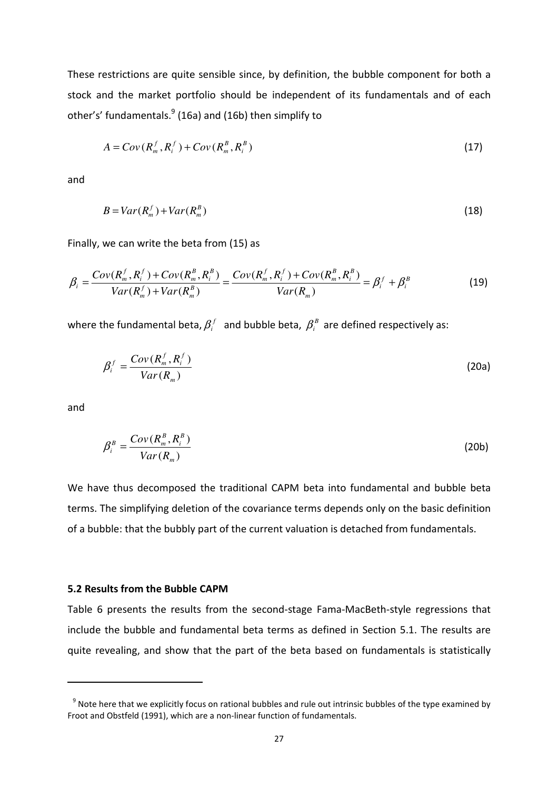These restrictions are quite sensible since, by definition, the bubble component for both a stock and the market portfolio should be independent of its fundamentals and of each other's' fundamentals. $^{9}$  (16a) and (16b) then simplify to

$$
A = Cov(R_m^f, R_i^f) + Cov(R_m^B, R_i^B)
$$
\n
$$
(17)
$$

and

$$
B = Var(R_m^f) + Var(R_m^B)
$$
\n(18)

Finally, we can write the beta from (15) as

$$
\beta_i = \frac{Cov(R_m^f, R_i^f) + Cov(R_m^B, R_i^B)}{Var(R_m^f) + Var(R_m^B)} = \frac{Cov(R_m^f, R_i^f) + Cov(R_m^B, R_i^B)}{Var(R_m)} = \beta_i^f + \beta_i^B
$$
\n(19)

where the fundamental beta,  $\beta_i^f$  and bubble beta,  $\beta_i^{\scriptscriptstyle B}$  are defined respectively as:

$$
\beta_i^f = \frac{Cov(R_m^f, R_i^f)}{Var(R_m)}
$$
\n(20a)

and

l

$$
\beta_i^B = \frac{Cov(R_m^B, R_i^B)}{Var(R_m)}
$$
\n(20b)

We have thus decomposed the traditional CAPM beta into fundamental and bubble beta terms. The simplifying deletion of the covariance terms depends only on the basic definition of a bubble: that the bubbly part of the current valuation is detached from fundamentals.

#### **5.2 Results from the Bubble CAPM**

Table 6 presents the results from the second-stage Fama-MacBeth-style regressions that include the bubble and fundamental beta terms as defined in Section 5.1. The results are quite revealing, and show that the part of the beta based on fundamentals is statistically

 $9$  Note here that we explicitly focus on rational bubbles and rule out intrinsic bubbles of the type examined by Froot and Obstfeld (1991), which are a non-linear function of fundamentals.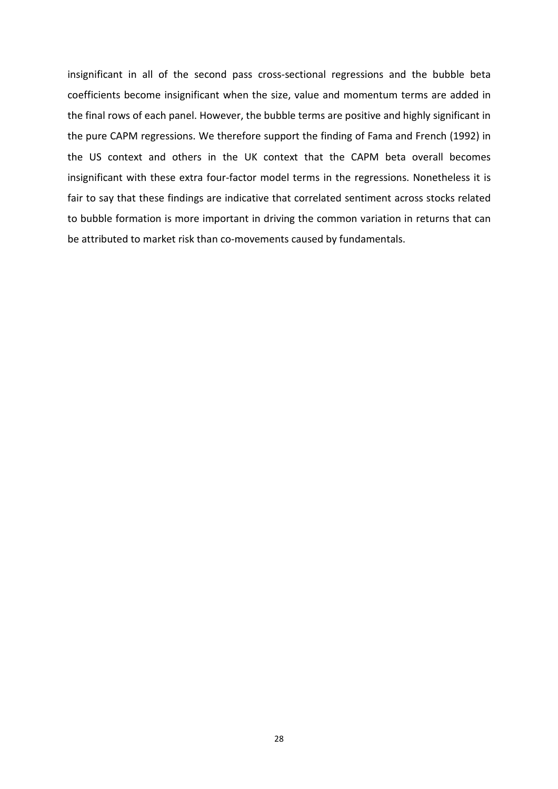insignificant in all of the second pass cross-sectional regressions and the bubble beta coefficients become insignificant when the size, value and momentum terms are added in the final rows of each panel. However, the bubble terms are positive and highly significant in the pure CAPM regressions. We therefore support the finding of Fama and French (1992) in the US context and others in the UK context that the CAPM beta overall becomes insignificant with these extra four-factor model terms in the regressions. Nonetheless it is fair to say that these findings are indicative that correlated sentiment across stocks related to bubble formation is more important in driving the common variation in returns that can be attributed to market risk than co-movements caused by fundamentals.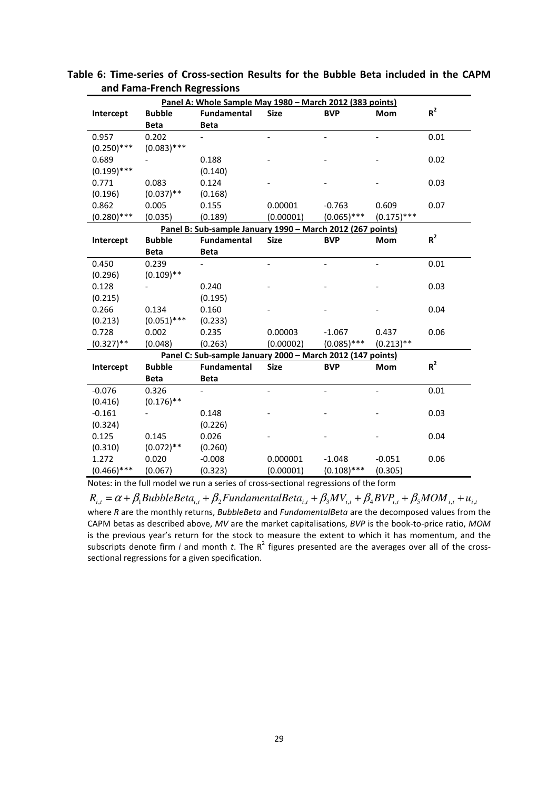| Panel A: Whole Sample May 1980 - March 2012 (383 points) |               |                                                            |             |               |               |       |  |  |  |  |  |  |
|----------------------------------------------------------|---------------|------------------------------------------------------------|-------------|---------------|---------------|-------|--|--|--|--|--|--|
| Intercept                                                | <b>Bubble</b> | <b>Fundamental</b>                                         | <b>Size</b> | <b>BVP</b>    | <b>Mom</b>    | $R^2$ |  |  |  |  |  |  |
|                                                          | <b>Beta</b>   | <b>Beta</b>                                                |             |               |               |       |  |  |  |  |  |  |
| 0.957                                                    | 0.202         |                                                            |             |               |               | 0.01  |  |  |  |  |  |  |
| $(0.250)$ ***                                            | $(0.083)$ *** |                                                            |             |               |               |       |  |  |  |  |  |  |
| 0.689                                                    |               | 0.188                                                      |             |               |               | 0.02  |  |  |  |  |  |  |
| $(0.199)$ ***                                            |               | (0.140)                                                    |             |               |               |       |  |  |  |  |  |  |
| 0.771                                                    | 0.083         | 0.124                                                      |             |               |               | 0.03  |  |  |  |  |  |  |
| (0.196)                                                  | $(0.037)$ **  | (0.168)                                                    |             |               |               |       |  |  |  |  |  |  |
| 0.862                                                    | 0.005         | 0.155                                                      | 0.00001     | $-0.763$      | 0.609         | 0.07  |  |  |  |  |  |  |
| $(0.280)$ ***                                            | (0.035)       | (0.189)                                                    | (0.00001)   | $(0.065)$ *** | $(0.175)$ *** |       |  |  |  |  |  |  |
|                                                          |               | Panel B: Sub-sample January 1990 - March 2012 (267 points) |             |               |               |       |  |  |  |  |  |  |
| Intercept                                                | <b>Bubble</b> | <b>Fundamental</b>                                         | <b>Size</b> | <b>BVP</b>    | Mom           | $R^2$ |  |  |  |  |  |  |
|                                                          | <b>Beta</b>   | <b>Beta</b>                                                |             |               |               |       |  |  |  |  |  |  |
| 0.450                                                    | 0.239         |                                                            |             |               |               | 0.01  |  |  |  |  |  |  |
| (0.296)                                                  | $(0.109)$ **  |                                                            |             |               |               |       |  |  |  |  |  |  |
| 0.128                                                    |               | 0.240                                                      |             |               |               | 0.03  |  |  |  |  |  |  |
| (0.215)                                                  |               | (0.195)                                                    |             |               |               |       |  |  |  |  |  |  |
| 0.266                                                    | 0.134         | 0.160                                                      |             |               |               | 0.04  |  |  |  |  |  |  |
| (0.213)                                                  | $(0.051)$ *** | (0.233)                                                    |             |               |               |       |  |  |  |  |  |  |
| 0.728                                                    | 0.002         | 0.235                                                      | 0.00003     | $-1.067$      | 0.437         | 0.06  |  |  |  |  |  |  |
| $(0.327)$ **                                             | (0.048)       | (0.263)                                                    | (0.00002)   | $(0.085)$ *** | $(0.213)$ **  |       |  |  |  |  |  |  |
|                                                          |               | Panel C: Sub-sample January 2000 - March 2012 (147 points) |             |               |               |       |  |  |  |  |  |  |
| Intercept                                                | <b>Bubble</b> | <b>Fundamental</b>                                         | <b>Size</b> | <b>BVP</b>    | <b>Mom</b>    | $R^2$ |  |  |  |  |  |  |
|                                                          | <b>Beta</b>   | <b>Beta</b>                                                |             |               |               |       |  |  |  |  |  |  |
| $-0.076$                                                 | 0.326         |                                                            |             |               |               | 0.01  |  |  |  |  |  |  |
| (0.416)                                                  | $(0.176)$ **  |                                                            |             |               |               |       |  |  |  |  |  |  |
| $-0.161$                                                 |               | 0.148                                                      |             |               |               | 0.03  |  |  |  |  |  |  |
| (0.324)                                                  |               | (0.226)                                                    |             |               |               |       |  |  |  |  |  |  |
| 0.125                                                    | 0.145         | 0.026                                                      |             |               |               | 0.04  |  |  |  |  |  |  |
| (0.310)                                                  | $(0.072)$ **  | (0.260)                                                    |             |               |               |       |  |  |  |  |  |  |
| 1.272                                                    | 0.020         | $-0.008$                                                   | 0.000001    | $-1.048$      | $-0.051$      | 0.06  |  |  |  |  |  |  |
| $(0.466)$ ***                                            | (0.067)       | (0.323)                                                    | (0.00001)   | $(0.108)$ *** | (0.305)       |       |  |  |  |  |  |  |

**Table 6: Time-series of Cross-section Results for the Bubble Beta included in the CAPM and Fama-French Regressions**

Notes: in the full model we run a series of cross-sectional regressions of the form

 $R_{i,t} = \alpha + \beta_1 BubbleBeta_{i,t} + \beta_2 FundamentalBeta_{i,t} + \beta_3 MV_{i,t} + \beta_4 BVP_{i,t} + \beta_5 MOM_{i,t} + u_{i,t}$ where *R* are the monthly returns, *BubbleBeta* and *FundamentalBeta* are the decomposed values from the CAPM betas as described above, *MV* are the market capitalisations, *BVP* is the book-to-price ratio, *MOM* is the previous year's return for the stock to measure the extent to which it has momentum, and the subscripts denote firm *i* and month *t*. The  $R^2$  figures presented are the averages over all of the crosssectional regressions for a given specification.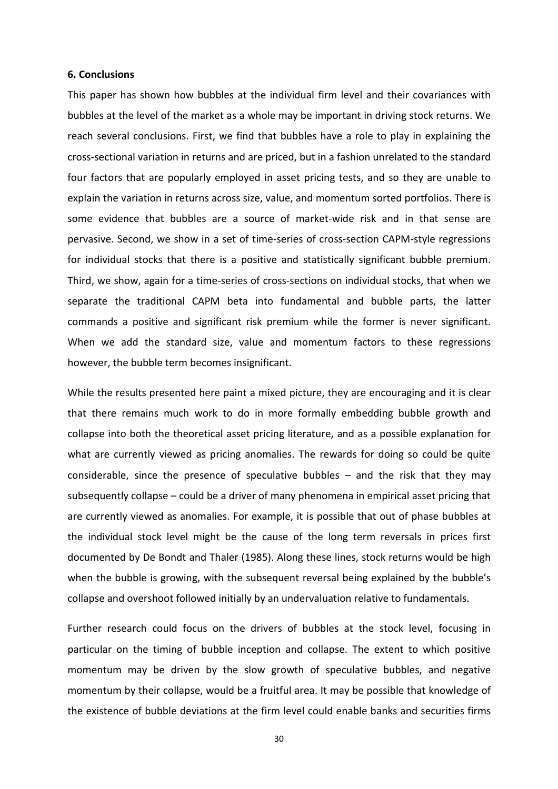#### **6. Conclusions**

This paper has shown how bubbles at the individual firm level and their covariances with bubbles at the level of the market as a whole may be important in driving stock returns. We reach several conclusions. First, we find that bubbles have a role to play in explaining the cross-sectional variation in returns and are priced, but in a fashion unrelated to the standard four factors that are popularly employed in asset pricing tests, and so they are unable to explain the variation in returns across size, value, and momentum sorted portfolios. There is some evidence that bubbles are a source of market-wide risk and in that sense are pervasive. Second, we show in a set of time-series of cross-section CAPM-style regressions for individual stocks that there is a positive and statistically significant bubble premium. Third, we show, again for a time-series of cross-sections on individual stocks, that when we separate the traditional CAPM beta into fundamental and bubble parts, the latter commands a positive and significant risk premium while the former is never significant. When we add the standard size, value and momentum factors to these regressions however, the bubble term becomes insignificant.

While the results presented here paint a mixed picture, they are encouraging and it is clear that there remains much work to do in more formally embedding bubble growth and collapse into both the theoretical asset pricing literature, and as a possible explanation for what are currently viewed as pricing anomalies. The rewards for doing so could be quite considerable, since the presence of speculative bubbles – and the risk that they may subsequently collapse – could be a driver of many phenomena in empirical asset pricing that are currently viewed as anomalies. For example, it is possible that out of phase bubbles at the individual stock level might be the cause of the long term reversals in prices first documented by De Bondt and Thaler (1985). Along these lines, stock returns would be high when the bubble is growing, with the subsequent reversal being explained by the bubble's collapse and overshoot followed initially by an undervaluation relative to fundamentals.

Further research could focus on the drivers of bubbles at the stock level, focusing in particular on the timing of bubble inception and collapse. The extent to which positive momentum may be driven by the slow growth of speculative bubbles, and negative momentum by their collapse, would be a fruitful area. It may be possible that knowledge of the existence of bubble deviations at the firm level could enable banks and securities firms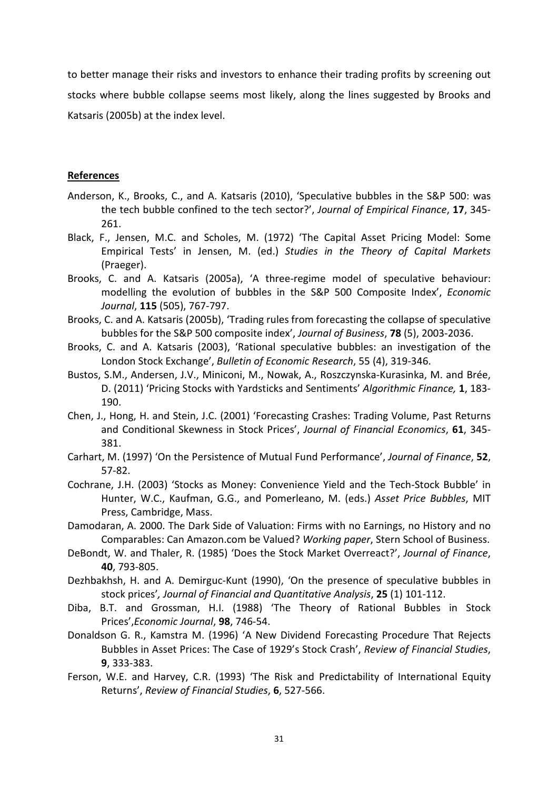to better manage their risks and investors to enhance their trading profits by screening out stocks where bubble collapse seems most likely, along the lines suggested by Brooks and Katsaris (2005b) at the index level.

#### **References**

- Anderson, K., Brooks, C., and A. Katsaris (2010), 'Speculative bubbles in the S&P 500: was the tech bubble confined to the tech sector?', *Journal of Empirical Finance*, **17**, 345- 261.
- Black, F., Jensen, M.C. and Scholes, M. (1972) 'The Capital Asset Pricing Model: Some Empirical Tests' in Jensen, M. (ed.) *Studies in the Theory of Capital Markets* (Praeger).
- Brooks, C. and A. Katsaris (2005a), 'A three-regime model of speculative behaviour: modelling the evolution of bubbles in the S&P 500 Composite Index', *Economic Journal*, **115** (505), 767-797.
- Brooks, C. and A. Katsaris (2005b), 'Trading rules from forecasting the collapse of speculative bubbles for the S&P 500 composite index', *Journal of Business*, **78** (5), 2003-2036.
- Brooks, C. and A. Katsaris (2003), 'Rational speculative bubbles: an investigation of the London Stock Exchange', *Bulletin of Economic Research*, 55 (4), 319-346.
- Bustos, S.M., Andersen, J.V., Miniconi, M., Nowak, A., Roszczynska-Kurasinka, M. and Brée, D. (2011) 'Pricing Stocks with Yardsticks and Sentiments' *Algorithmic Finance,* **1**, 183- 190.
- Chen, J., Hong, H. and Stein, J.C. (2001) 'Forecasting Crashes: Trading Volume, Past Returns and Conditional Skewness in Stock Prices', *Journal of Financial Economics*, **61**, 345- 381.
- Carhart, M. (1997) 'On the Persistence of Mutual Fund Performance', *Journal of Finance*, **52**, 57-82.
- Cochrane, J.H. (2003) 'Stocks as Money: Convenience Yield and the Tech-Stock Bubble' in Hunter, W.C., Kaufman, G.G., and Pomerleano, M. (eds.) *Asset Price Bubbles*, MIT Press, Cambridge, Mass.
- Damodaran, A. 2000. The Dark Side of Valuation: Firms with no Earnings, no History and no Comparables: Can Amazon.com be Valued? *Working paper*, Stern School of Business.
- DeBondt, W. and Thaler, R. (1985) 'Does the Stock Market Overreact?', *Journal of Finance*, **40**, 793-805.
- Dezhbakhsh, Η. and A. Demirguc-Kunt (1990), 'On the presence of speculative bubbles in stock prices'*, Journal of Financial and Quantitative Analysis*, **25** (1) 101-112.
- Diba, B.T. and Grossman, H.I. (1988) 'The Theory of Rational Bubbles in Stock Prices',*Economic Journal*, **98**, 746-54.
- Donaldson G. R., Kamstra M. (1996) 'A New Dividend Forecasting Procedure That Rejects Bubbles in Asset Prices: The Case of 1929's Stock Crash', *Review of Financial Studies*, **9**, 333-383.
- Ferson, W.E. and Harvey, C.R. (1993) 'The Risk and Predictability of International Equity Returns', *Review of Financial Studies*, **6**, 527-566.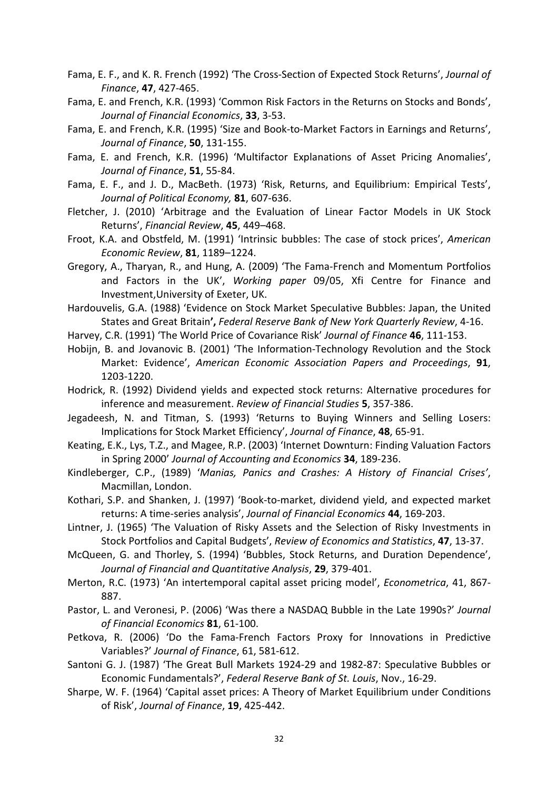- Fama, E. F., and K. R. French (1992) 'The Cross-Section of Expected Stock Returns', *Journal of Finance*, **47**, 427-465.
- Fama, E. and French, K.R. (1993) 'Common Risk Factors in the Returns on Stocks and Bonds', *Journal of Financial Economics*, **33**, 3-53.
- Fama, E. and French, K.R. (1995) 'Size and Book-to-Market Factors in Earnings and Returns', *Journal of Finance*, **50**, 131-155.
- Fama, E. and French, K.R. (1996) 'Multifactor Explanations of Asset Pricing Anomalies', *Journal of Finance*, **51**, 55-84.
- Fama, E. F., and J. D., MacBeth. (1973) 'Risk, Returns, and Equilibrium: Empirical Tests', *Journal of Political Economy,* **81**, 607-636.
- Fletcher, J. (2010) 'Arbitrage and the Evaluation of Linear Factor Models in UK Stock Returns', *Financial Review*, **45**, 449–468.
- Froot, K.A. and Obstfeld, M. (1991) 'Intrinsic bubbles: The case of stock prices', *American Economic Review*, **81**, 1189–1224.
- Gregory, A., Tharyan, R., and Hung, A. (2009) 'The Fama-French and Momentum Portfolios and Factors in the UK', *Working paper* 09/05, Xfi Centre for Finance and Investment,University of Exeter, UK.
- Hardouvelis, G.A. (1988) 'Evidence on Stock Market Speculative Bubbles: Japan, the United States and Great Britain**',** *Federal Reserve Bank of New York Quarterly Review*, 4-16.
- Harvey, C.R. (1991) 'The World Price of Covariance Risk' *Journal of Finance* **46**, 111-153.
- Hobijn, B. and Jovanovic B. (2001) 'The Information-Technology Revolution and the Stock Market: Evidence', *American Economic Association Papers and Proceedings*, **91**, 1203-1220.
- Hodrick, R. (1992) Dividend yields and expected stock returns: Alternative procedures for inference and measurement. *Review of Financial Studies* **5**, 357-386.
- Jegadeesh, N. and Titman, S. (1993) 'Returns to Buying Winners and Selling Losers: Implications for Stock Market Efficiency', *Journal of Finance*, **48**, 65-91.
- Keating, E.K., Lys, T.Z., and Magee, R.P. (2003) 'Internet Downturn: Finding Valuation Factors in Spring 2000' *Journal of Accounting and Economics* **34**, 189-236.
- Kindleberger, C.P., (1989) '*Manias, Panics and Crashes: A History of Financial Crises'*, Macmillan, London.
- Kothari, S.P. and Shanken, J. (1997) 'Book-to-market, dividend yield, and expected market returns: A time-series analysis', *Journal of Financial Economics* **44**, 169-203.
- Lintner, J. (1965) 'The Valuation of Risky Assets and the Selection of Risky Investments in Stock Portfolios and Capital Budgets', *Review of Economics and Statistics*, **47**, 13-37.
- McQueen, G. and Thorley, S. (1994) 'Bubbles, Stock Returns, and Duration Dependence', *Journal of Financial and Quantitative Analysis*, **29**, 379-401.
- Merton, R.C. (1973) 'An intertemporal capital asset pricing model', *Econometrica*, 41, 867- 887.
- Pastor, L. and Veronesi, P. (2006) 'Was there a NASDAQ Bubble in the Late 1990s?' *Journal of Financial Economics* **81**, 61-100.
- Petkova, R. (2006) 'Do the Fama-French Factors Proxy for Innovations in Predictive Variables?' *Journal of Finance*, 61, 581-612.
- Santoni G. J. (1987) 'The Great Bull Markets 1924-29 and 1982-87: Speculative Bubbles or Economic Fundamentals?', *Federal Reserve Bank of St. Louis*, Nov., 16-29.
- Sharpe, W. F. (1964) 'Capital asset prices: A Theory of Market Equilibrium under Conditions of Risk', *Journal of Finance*, **19**, 425-442.